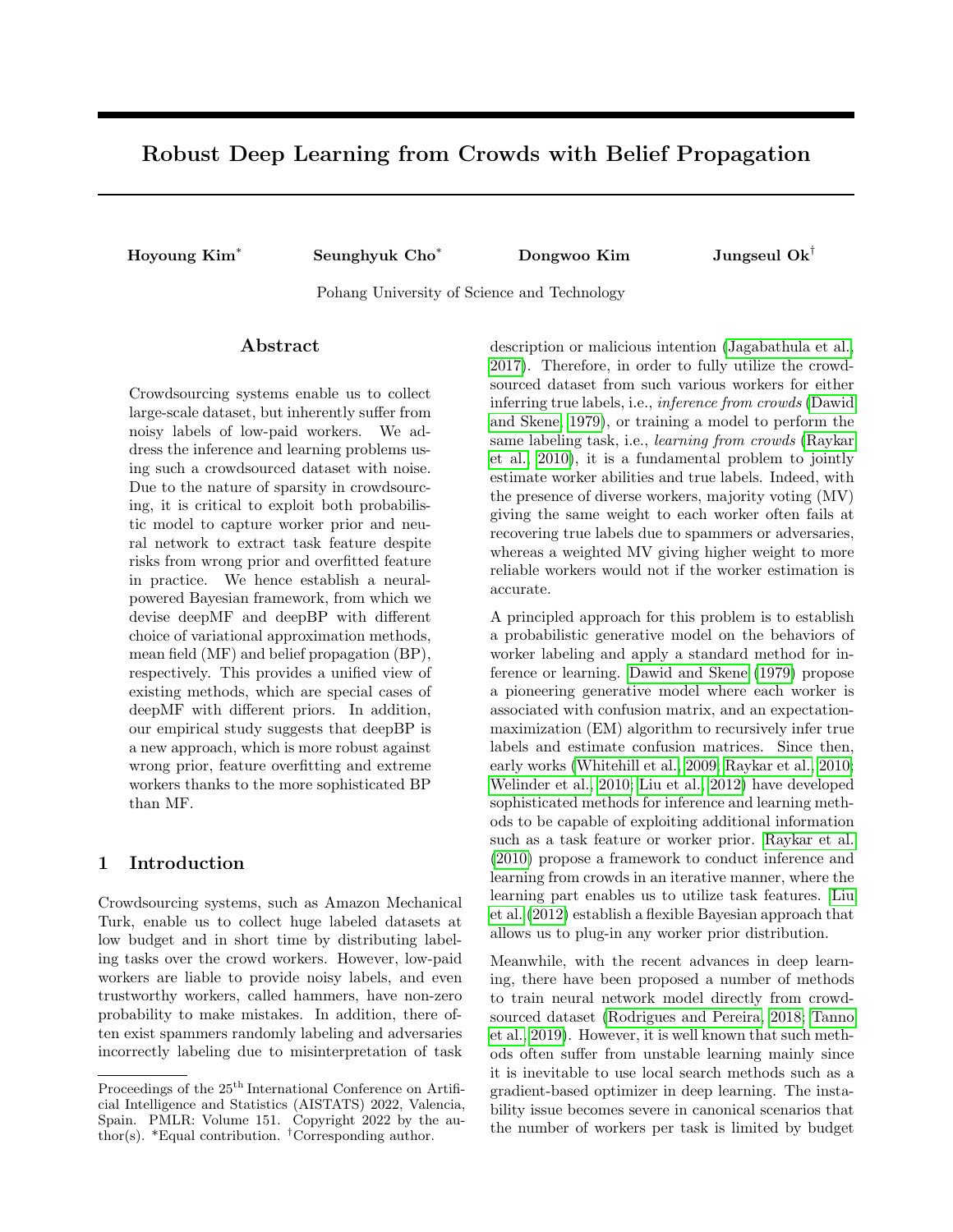# <span id="page-0-0"></span>Robust Deep Learning from Crowds with Belief Propagation

Hoyoung Kim<sup>∗</sup> Seunghyuk Cho<sup>∗</sup> Dongwoo Kim Jungseul Ok†

Pohang University of Science and Technology

# ${\rm Abstract}$

Crowdsourcing systems enable us to collect large-scale dataset, but inherently suffer from noisy labels of low-paid workers. We address the inference and learning problems using such a crowdsourced dataset with noise. Due to the nature of sparsity in crowdsourcing, it is critical to exploit both probabilistic model to capture worker prior and neural network to extract task feature despite risks from wrong prior and overfitted feature in practice. We hence establish a neuralpowered Bayesian framework, from which we devise deepMF and deepBP with different choice of variational approximation methods, mean field (MF) and belief propagation (BP), respectively. This provides a unified view of existing methods, which are special cases of deepMF with different priors. In addition, our empirical study suggests that deepBP is a new approach, which is more robust against wrong prior, feature overfitting and extreme workers thanks to the more sophisticated BP than MF.

# 1 Introduction

Crowdsourcing systems, such as Amazon Mechanical Turk, enable us to collect huge labeled datasets at low budget and in short time by distributing labeling tasks over the crowd workers. However, low-paid workers are liable to provide noisy labels, and even trustworthy workers, called hammers, have non-zero probability to make mistakes. In addition, there often exist spammers randomly labeling and adversaries incorrectly labeling due to misinterpretation of task description or malicious intention [\(Jagabathula et al.,](#page-9-0) [2017\)](#page-9-0). Therefore, in order to fully utilize the crowdsourced dataset from such various workers for either inferring true labels, i.e., inference from crowds [\(Dawid](#page-9-1) [and Skene, 1979\)](#page-9-1), or training a model to perform the same labeling task, i.e., learning from crowds [\(Raykar](#page-9-2) [et al., 2010\)](#page-9-2), it is a fundamental problem to jointly estimate worker abilities and true labels. Indeed, with the presence of diverse workers, majority voting (MV) giving the same weight to each worker often fails at recovering true labels due to spammers or adversaries, whereas a weighted MV giving higher weight to more reliable workers would not if the worker estimation is accurate.

A principled approach for this problem is to establish a probabilistic generative model on the behaviors of worker labeling and apply a standard method for inference or learning. [Dawid and Skene](#page-9-1) [\(1979\)](#page-9-1) propose a pioneering generative model where each worker is associated with confusion matrix, and an expectationmaximization (EM) algorithm to recursively infer true labels and estimate confusion matrices. Since then, early works [\(Whitehill et al., 2009;](#page-10-0) [Raykar et al., 2010;](#page-9-2) [Welinder et al., 2010;](#page-10-1) [Liu et al., 2012\)](#page-9-3) have developed sophisticated methods for inference and learning methods to be capable of exploiting additional information such as a task feature or worker prior. [Raykar et al.](#page-9-2) [\(2010\)](#page-9-2) propose a framework to conduct inference and learning from crowds in an iterative manner, where the learning part enables us to utilize task features. [Liu](#page-9-3) [et al.](#page-9-3) [\(2012\)](#page-9-3) establish a flexible Bayesian approach that allows us to plug-in any worker prior distribution.

Meanwhile, with the recent advances in deep learning, there have been proposed a number of methods to train neural network model directly from crowdsourced dataset [\(Rodrigues and Pereira, 2018;](#page-9-4) [Tanno](#page-9-5) [et al., 2019\)](#page-9-5). However, it is well known that such methods often suffer from unstable learning mainly since it is inevitable to use local search methods such as a gradient-based optimizer in deep learning. The instability issue becomes severe in canonical scenarios that the number of workers per task is limited by budget

Proceedings of the  $25^{\mathrm{th}}$  International Conference on Artificial Intelligence and Statistics (AISTATS) 2022, Valencia, Spain. PMLR: Volume 151. Copyright 2022 by the author(s). \*Equal contribution. †Corresponding author.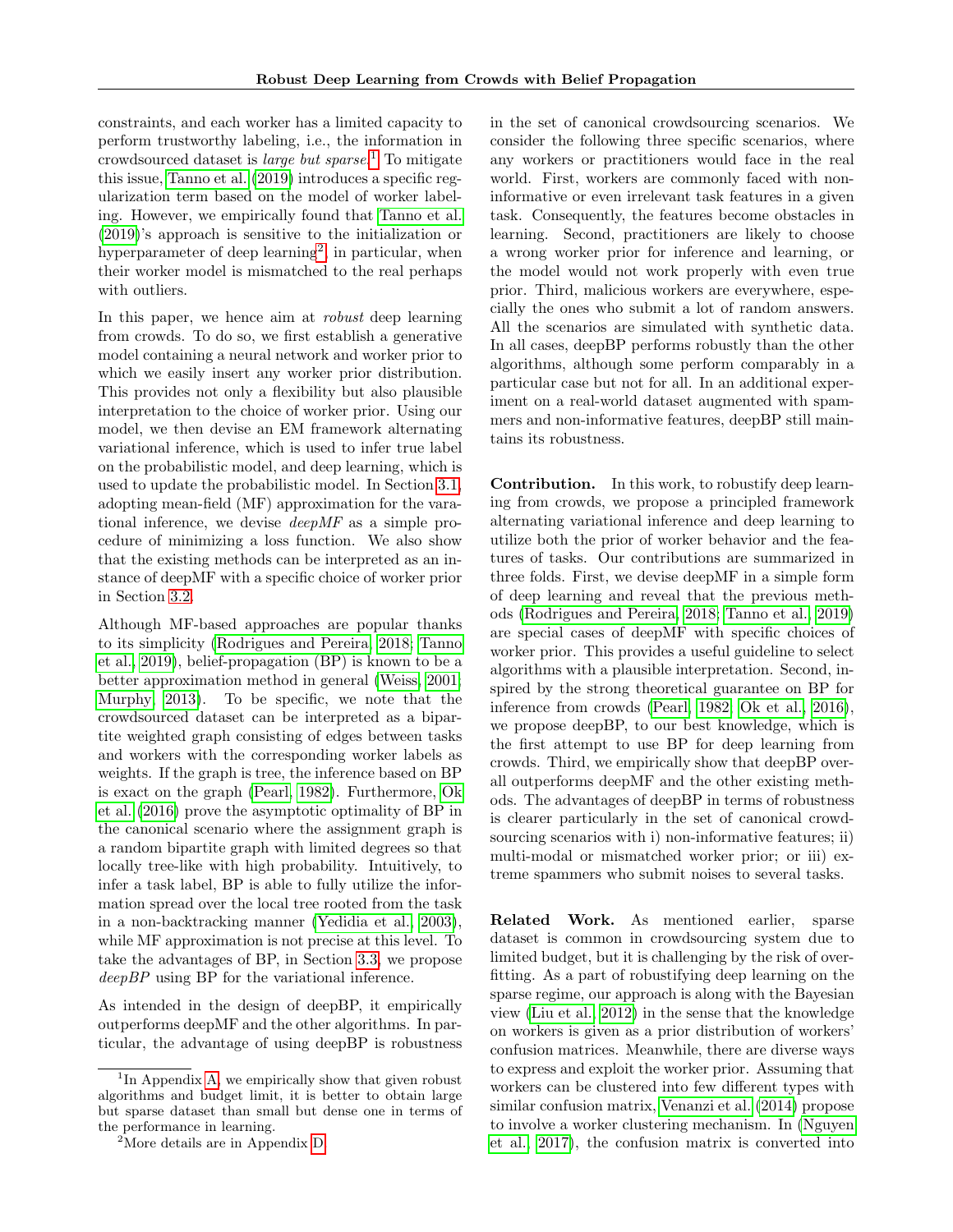constraints, and each worker has a limited capacity to perform trustworthy labeling, i.e., the information in crowdsourced dataset is large but sparse. [1](#page-0-0) To mitigate this issue, [Tanno et al.](#page-9-5) [\(2019\)](#page-9-5) introduces a specific regularization term based on the model of worker labeling. However, we empirically found that [Tanno et al.](#page-9-5) [\(2019\)](#page-9-5)'s approach is sensitive to the initialization or hyperparameter of deep learning<sup>[2](#page-0-0)</sup>, in particular, when their worker model is mismatched to the real perhaps with outliers.

In this paper, we hence aim at *robust* deep learning from crowds. To do so, we first establish a generative model containing a neural network and worker prior to which we easily insert any worker prior distribution. This provides not only a flexibility but also plausible interpretation to the choice of worker prior. Using our model, we then devise an EM framework alternating variational inference, which is used to infer true label on the probabilistic model, and deep learning, which is used to update the probabilistic model. In Section [3.1,](#page-3-0) adopting mean-field (MF) approximation for the varational inference, we devise deepMF as a simple procedure of minimizing a loss function. We also show that the existing methods can be interpreted as an instance of deepMF with a specific choice of worker prior in Section [3.2.](#page-4-0)

Although MF-based approaches are popular thanks to its simplicity [\(Rodrigues and Pereira, 2018;](#page-9-4) [Tanno](#page-9-5) [et al., 2019\)](#page-9-5), belief-propagation (BP) is known to be a better approximation method in general [\(Weiss, 2001;](#page-10-2) [Murphy, 2013\)](#page-9-6). To be specific, we note that the crowdsourced dataset can be interpreted as a bipartite weighted graph consisting of edges between tasks and workers with the corresponding worker labels as weights. If the graph is tree, the inference based on BP is exact on the graph [\(Pearl, 1982\)](#page-9-7). Furthermore, [Ok](#page-9-8) [et al.](#page-9-8) [\(2016\)](#page-9-8) prove the asymptotic optimality of BP in the canonical scenario where the assignment graph is a random bipartite graph with limited degrees so that locally tree-like with high probability. Intuitively, to infer a task label, BP is able to fully utilize the information spread over the local tree rooted from the task in a non-backtracking manner [\(Yedidia et al., 2003\)](#page-10-3), while MF approximation is not precise at this level. To take the advantages of BP, in Section [3.3,](#page-4-1) we propose deep BP using BP for the variational inference.

As intended in the design of deepBP, it empirically outperforms deepMF and the other algorithms. In particular, the advantage of using deepBP is robustness in the set of canonical crowdsourcing scenarios. We consider the following three specific scenarios, where any workers or practitioners would face in the real world. First, workers are commonly faced with noninformative or even irrelevant task features in a given task. Consequently, the features become obstacles in learning. Second, practitioners are likely to choose a wrong worker prior for inference and learning, or the model would not work properly with even true prior. Third, malicious workers are everywhere, especially the ones who submit a lot of random answers. All the scenarios are simulated with synthetic data. In all cases, deepBP performs robustly than the other algorithms, although some perform comparably in a particular case but not for all. In an additional experiment on a real-world dataset augmented with spammers and non-informative features, deepBP still maintains its robustness.

Contribution. In this work, to robustify deep learning from crowds, we propose a principled framework alternating variational inference and deep learning to utilize both the prior of worker behavior and the features of tasks. Our contributions are summarized in three folds. First, we devise deepMF in a simple form of deep learning and reveal that the previous methods [\(Rodrigues and Pereira, 2018;](#page-9-4) [Tanno et al., 2019\)](#page-9-5) are special cases of deepMF with specific choices of worker prior. This provides a useful guideline to select algorithms with a plausible interpretation. Second, inspired by the strong theoretical guarantee on BP for inference from crowds [\(Pearl, 1982;](#page-9-7) [Ok et al., 2016\)](#page-9-8), we propose deepBP, to our best knowledge, which is the first attempt to use BP for deep learning from crowds. Third, we empirically show that deepBP overall outperforms deepMF and the other existing methods. The advantages of deepBP in terms of robustness is clearer particularly in the set of canonical crowdsourcing scenarios with i) non-informative features; ii) multi-modal or mismatched worker prior; or iii) extreme spammers who submit noises to several tasks.

Related Work. As mentioned earlier, sparse dataset is common in crowdsourcing system due to limited budget, but it is challenging by the risk of overfitting. As a part of robustifying deep learning on the sparse regime, our approach is along with the Bayesian view [\(Liu et al., 2012\)](#page-9-3) in the sense that the knowledge on workers is given as a prior distribution of workers' confusion matrices. Meanwhile, there are diverse ways to express and exploit the worker prior. Assuming that workers can be clustered into few different types with similar confusion matrix, [Venanzi et al.](#page-10-4) [\(2014\)](#page-10-4) propose to involve a worker clustering mechanism. In [\(Nguyen](#page-9-9) [et al., 2017\)](#page-9-9), the confusion matrix is converted into

<sup>&</sup>lt;sup>1</sup>In Appendix [A,](#page-11-0) we empirically show that given robust algorithms and budget limit, it is better to obtain large but sparse dataset than small but dense one in terms of the performance in learning.

<sup>2</sup>More details are in Appendix [D.](#page-14-0)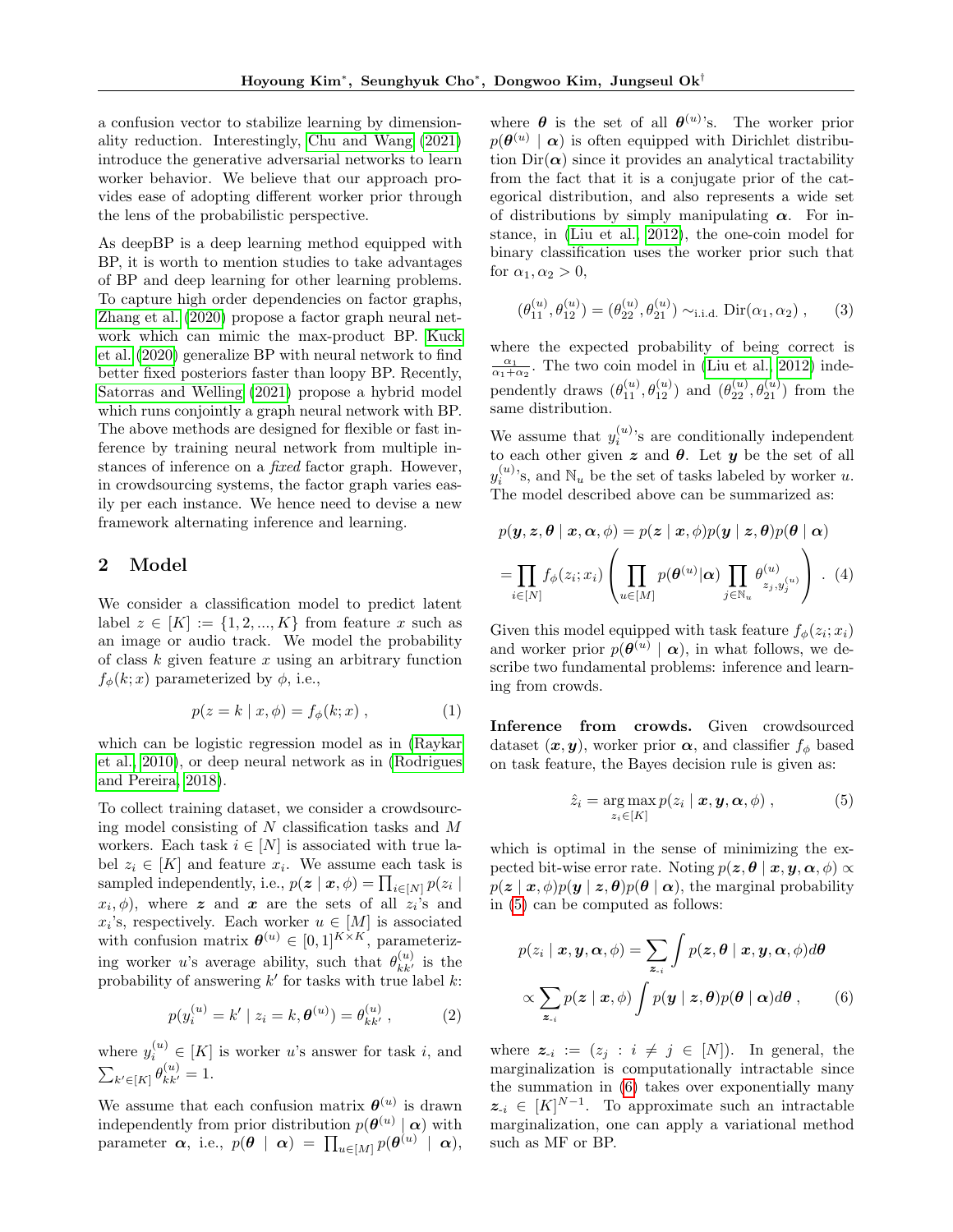a confusion vector to stabilize learning by dimensionality reduction. Interestingly, [Chu and Wang](#page-9-10) [\(2021\)](#page-9-10) introduce the generative adversarial networks to learn worker behavior. We believe that our approach provides ease of adopting different worker prior through the lens of the probabilistic perspective.

As deepBP is a deep learning method equipped with BP, it is worth to mention studies to take advantages of BP and deep learning for other learning problems. To capture high order dependencies on factor graphs, [Zhang et al.](#page-10-5) [\(2020\)](#page-10-5) propose a factor graph neural network which can mimic the max-product BP. [Kuck](#page-9-11) [et al.](#page-9-11) [\(2020\)](#page-9-11) generalize BP with neural network to find better fixed posteriors faster than loopy BP. Recently, [Satorras and Welling](#page-9-12) [\(2021\)](#page-9-12) propose a hybrid model which runs conjointly a graph neural network with BP. The above methods are designed for flexible or fast inference by training neural network from multiple instances of inference on a fixed factor graph. However, in crowdsourcing systems, the factor graph varies easily per each instance. We hence need to devise a new framework alternating inference and learning.

# 2 Model

We consider a classification model to predict latent label  $z \in [K] := \{1, 2, ..., K\}$  from feature x such as an image or audio track. We model the probability of class  $k$  given feature  $x$  using an arbitrary function  $f_{\phi}(k; x)$  parameterized by  $\phi$ , i.e.,

<span id="page-2-4"></span>
$$
p(z = k | x, \phi) = f_{\phi}(k; x) , \qquad (1)
$$

which can be logistic regression model as in [\(Raykar](#page-9-2) [et al., 2010\)](#page-9-2), or deep neural network as in [\(Rodrigues](#page-9-4) [and Pereira, 2018\)](#page-9-4).

To collect training dataset, we consider a crowdsourcing model consisting of  $N$  classification tasks and  $M$ workers. Each task  $i \in [N]$  is associated with true label  $z_i \in [K]$  and feature  $x_i$ . We assume each task is sampled independently, i.e.,  $p(\boldsymbol{z} \mid \boldsymbol{x}, \phi) = \prod_{i \in [N]} p(z_i \mid$  $(x_i, \phi)$ , where z and x are the sets of all  $z_i$ 's and  $x_i$ 's, respectively. Each worker  $u \in [M]$  is associated with confusion matrix  $\boldsymbol{\theta}^{(u)} \in [0,1]^{K \times K}$ , parameterizing worker u's average ability, such that  $\theta_{kk'}^{(u)}$  is the probability of answering  $k'$  for tasks with true label  $k$ :

$$
p(y_i^{(u)} = k' \mid z_i = k, \theta^{(u)}) = \theta_{kk'}^{(u)}, \qquad (2)
$$

where  $y_i^{(u)} \in [K]$  is worker u's answer for task i, and  $\sum_{k' \in [K]} \theta_{kk'}^{(u)} = 1.$ 

We assume that each confusion matrix  $\boldsymbol{\theta}^{(u)}$  is drawn independently from prior distribution  $p(\theta^{(u)} | \alpha)$  with  $\text{parameter} \;\; \boldsymbol{\alpha}, \; \text{i.e.,} \; \, p(\boldsymbol{\theta} \; \mid \; \boldsymbol{\alpha}) \; = \; \prod_{u \in [M]} p(\boldsymbol{\theta}^{(u)} \; \mid \; \boldsymbol{\alpha}),$ 

where  $\boldsymbol{\theta}$  is the set of all  $\boldsymbol{\theta}^{(u)}$ 's. The worker prior  $p(\boldsymbol{\theta}^{(u)} \mid \boldsymbol{\alpha})$  is often equipped with Dirichlet distribution  $Dir(\boldsymbol{\alpha})$  since it provides an analytical tractability from the fact that it is a conjugate prior of the categorical distribution, and also represents a wide set of distributions by simply manipulating  $\alpha$ . For instance, in [\(Liu et al., 2012\)](#page-9-3), the one-coin model for binary classification uses the worker prior such that for  $\alpha_1, \alpha_2 > 0$ ,

<span id="page-2-3"></span>
$$
(\theta_{11}^{(u)}, \theta_{12}^{(u)}) = (\theta_{22}^{(u)}, \theta_{21}^{(u)}) \sim_{\text{i.i.d.}} \text{Dir}(\alpha_1, \alpha_2), \quad (3)
$$

where the expected probability of being correct is  $\frac{\alpha_1}{\alpha_1+\alpha_2}$ . The two coin model in [\(Liu et al., 2012\)](#page-9-3) independently draws  $(\theta_{11}^{(u)}, \theta_{12}^{(u)})$  and  $(\theta_{22}^{(u)}, \theta_{21}^{(u)})$  from the same distribution.

We assume that  $y_i^{(u)}$ 's are conditionally independent to each other given z and  $\theta$ . Let  $y$  be the set of all  $y_i^{(u)}$ 's, and  $\mathbb{N}_u$  be the set of tasks labeled by worker u. The model described above can be summarized as:

<span id="page-2-2"></span>
$$
p(\mathbf{y}, \mathbf{z}, \boldsymbol{\theta} \mid \mathbf{x}, \boldsymbol{\alpha}, \phi) = p(\mathbf{z} \mid \mathbf{x}, \phi) p(\mathbf{y} \mid \mathbf{z}, \boldsymbol{\theta}) p(\boldsymbol{\theta} \mid \boldsymbol{\alpha})
$$

$$
= \prod_{i \in [N]} f_{\phi}(z_i; x_i) \left( \prod_{u \in [M]} p(\boldsymbol{\theta}^{(u)} | \boldsymbol{\alpha}) \prod_{j \in \mathbb{N}_u} \theta_{z_j, y_j^{(u)}}^{(u)} \right) . (4)
$$

Given this model equipped with task feature  $f_{\phi}(z_i; x_i)$ and worker prior  $p(\theta^{(u)} | \alpha)$ , in what follows, we describe two fundamental problems: inference and learning from crowds.

Inference from crowds. Given crowdsourced dataset  $(x, y)$ , worker prior  $\alpha$ , and classifier  $f_{\phi}$  based on task feature, the Bayes decision rule is given as:

<span id="page-2-0"></span>
$$
\hat{z}_i = \underset{z_i \in [K]}{\arg \max} p(z_i \mid \boldsymbol{x}, \boldsymbol{y}, \boldsymbol{\alpha}, \phi) , \qquad (5)
$$

which is optimal in the sense of minimizing the expected bit-wise error rate. Noting  $p(z, \theta | x, y, \alpha, \phi) \propto$  $p(z | x, \phi)p(y | z, \theta)p(\theta | \alpha)$ , the marginal probability in [\(5\)](#page-2-0) can be computed as follows:

<span id="page-2-1"></span>
$$
p(z_i | \mathbf{x}, \mathbf{y}, \alpha, \phi) = \sum_{\mathbf{z}_{-i}} \int p(\mathbf{z}, \boldsymbol{\theta} | \mathbf{x}, \mathbf{y}, \alpha, \phi) d\boldsymbol{\theta}
$$

$$
\propto \sum_{\mathbf{z}_{-i}} p(\mathbf{z} | \mathbf{x}, \phi) \int p(\mathbf{y} | \mathbf{z}, \boldsymbol{\theta}) p(\boldsymbol{\theta} | \alpha) d\boldsymbol{\theta}, \qquad (6)
$$

where  $z_{-i} := (z_j : i \neq j \in [N])$ . In general, the marginalization is computationally intractable since the summation in [\(6\)](#page-2-1) takes over exponentially many  $z_{-i} \in [K]^{N-1}$ . To approximate such an intractable marginalization, one can apply a variational method such as MF or BP.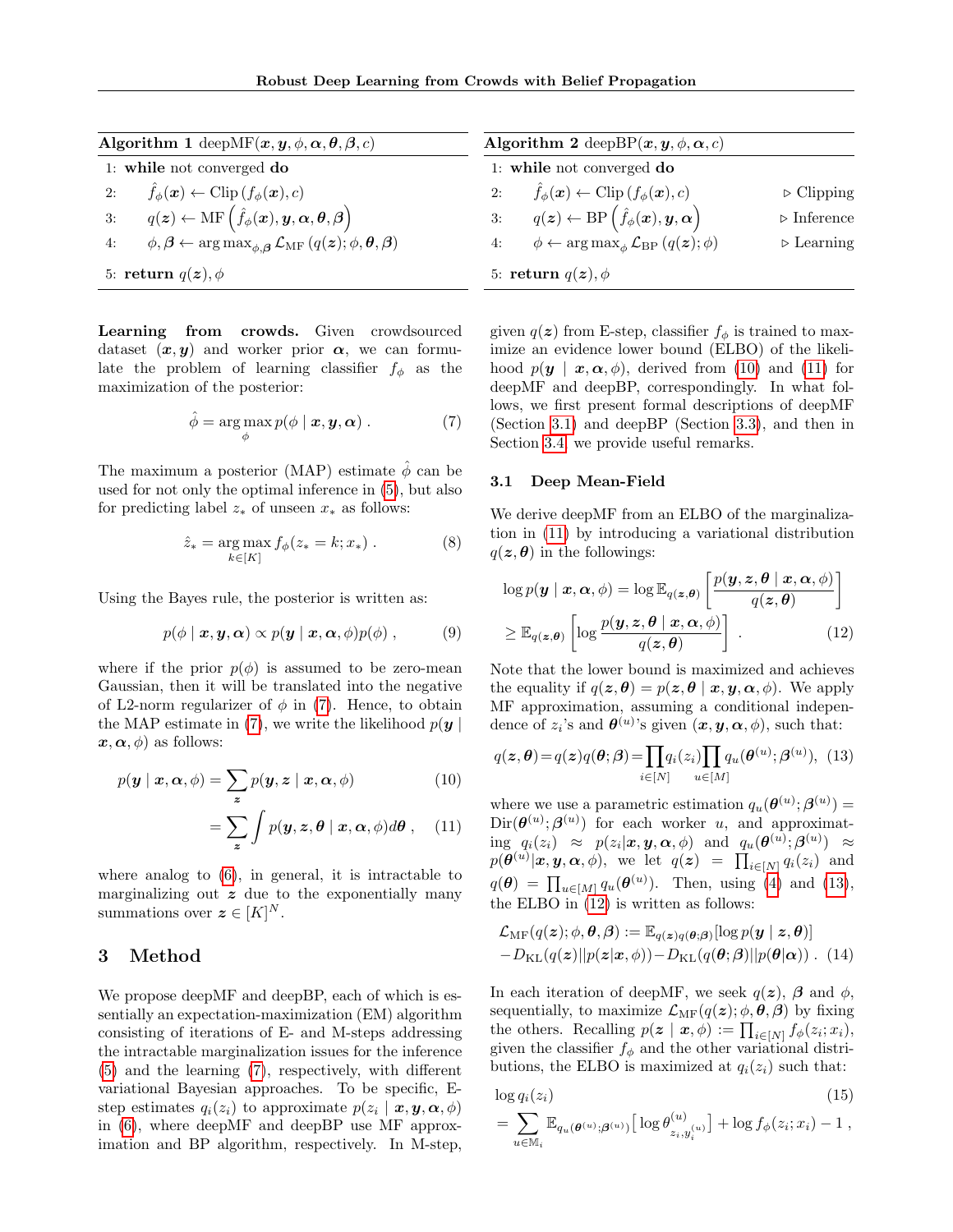<span id="page-3-8"></span>

| <b>Algorithm 1</b> deepMF $(\boldsymbol{x}, \boldsymbol{y}, \phi, \boldsymbol{\alpha}, \boldsymbol{\theta}, \boldsymbol{\beta}, c)$            | Algorithm 2 deep BP $(x, y, \phi, \alpha, c)$<br>1: while not converged do                              |                            |  |  |
|------------------------------------------------------------------------------------------------------------------------------------------------|---------------------------------------------------------------------------------------------------------|----------------------------|--|--|
| 1: while not converged do                                                                                                                      |                                                                                                         |                            |  |  |
| $\hat{f}_{\phi}(\boldsymbol{x}) \leftarrow \text{Clip}\left(f_{\phi}(\boldsymbol{x}), c\right)$<br>2:                                          | 2: $\hat{f}_{\phi}(\boldsymbol{x}) \leftarrow \text{Clip}(f_{\phi}(\boldsymbol{x}), c)$                 | $\triangleright$ Clipping  |  |  |
| $q(\bm{z}) \leftarrow \text{MF}\left(\hat{f}_{\phi}(\bm{x}), \bm{y}, \bm{\alpha}, \bm{\theta}, \bm{\beta}\right).$<br>3:                       | 3: $q(z) \leftarrow BP\left(\hat{f}_{\phi}(\boldsymbol{x}), \boldsymbol{y}, \boldsymbol{\alpha}\right)$ | $\triangleright$ Inference |  |  |
| $\phi, \beta \leftarrow \arg \max_{\phi, \beta} \mathcal{L}_{\text{MF}}\left(q(\boldsymbol{z}); \phi, \boldsymbol{\theta}, \beta\right)$<br>4: | 4: $\phi \leftarrow \arg \max_{\phi} \mathcal{L}_{BP}(q(\boldsymbol{z}); \phi)$                         | $\triangleright$ Learning  |  |  |
| 5: return $q(z)$ , $\phi$                                                                                                                      | 5: return $q(z)$ , $\phi$                                                                               |                            |  |  |

Learning from crowds. Given crowdsourced dataset  $(x, y)$  and worker prior  $\alpha$ , we can formulate the problem of learning classifier  $f_{\phi}$  as the maximization of the posterior:

<span id="page-3-1"></span>
$$
\hat{\phi} = \arg \max_{\phi} p(\phi \mid \boldsymbol{x}, \boldsymbol{y}, \boldsymbol{\alpha}) . \tag{7}
$$

The maximum a posterior (MAP) estimate  $\hat{\phi}$  can be used for not only the optimal inference in [\(5\)](#page-2-0), but also for predicting label  $z_*$  of unseen  $x_*$  as follows:

$$
\hat{z}_* = \underset{k \in [K]}{\arg \max} f_{\phi}(z_* = k; x_*) . \tag{8}
$$

Using the Bayes rule, the posterior is written as:

$$
p(\phi | \mathbf{x}, \mathbf{y}, \alpha) \propto p(\mathbf{y} | \mathbf{x}, \alpha, \phi) p(\phi), \quad (9)
$$

where if the prior  $p(\phi)$  is assumed to be zero-mean Gaussian, then it will be translated into the negative of L2-norm regularizer of  $\phi$  in [\(7\)](#page-3-1). Hence, to obtain the MAP estimate in [\(7\)](#page-3-1), we write the likelihood  $p(\boldsymbol{y} | \boldsymbol{z})$  $x, \alpha, \phi$  as follows:

$$
p(\mathbf{y} \mid \mathbf{x}, \alpha, \phi) = \sum_{\mathbf{z}} p(\mathbf{y}, \mathbf{z} \mid \mathbf{x}, \alpha, \phi) \tag{10}
$$

$$
= \sum_{\boldsymbol{z}} \int p(\boldsymbol{y}, \boldsymbol{z}, \boldsymbol{\theta} \mid \boldsymbol{x}, \boldsymbol{\alpha}, \phi) d\boldsymbol{\theta}, \quad (11)
$$

where analog to [\(6\)](#page-2-1), in general, it is intractable to marginalizing out  $z$  due to the exponentially many summations over  $\boldsymbol{z} \in [K]^N$ .

# 3 Method

We propose deepMF and deepBP, each of which is essentially an expectation-maximization (EM) algorithm consisting of iterations of E- and M-steps addressing the intractable marginalization issues for the inference [\(5\)](#page-2-0) and the learning [\(7\)](#page-3-1), respectively, with different variational Bayesian approaches. To be specific, Estep estimates  $q_i(z_i)$  to approximate  $p(z_i | \mathbf{x}, \mathbf{y}, \alpha, \phi)$ in [\(6\)](#page-2-1), where deepMF and deepBP use MF approximation and BP algorithm, respectively. In M-step, given  $q(z)$  from E-step, classifier  $f_{\phi}$  is trained to maximize an evidence lower bound (ELBO) of the likelihood  $p(\mathbf{y} \mid \mathbf{x}, \alpha, \phi)$ , derived from [\(10\)](#page-3-2) and [\(11\)](#page-3-3) for deepMF and deepBP, correspondingly. In what follows, we first present formal descriptions of deepMF (Section [3.1\)](#page-3-0) and deepBP (Section [3.3\)](#page-4-1), and then in Section [3.4,](#page-5-0) we provide useful remarks.

## <span id="page-3-0"></span>3.1 Deep Mean-Field

We derive deepMF from an ELBO of the marginalization in [\(11\)](#page-3-3) by introducing a variational distribution  $q(z, \theta)$  in the followings:

<span id="page-3-5"></span>
$$
\log p(\mathbf{y} \mid \mathbf{x}, \alpha, \phi) = \log \mathbb{E}_{q(\mathbf{z}, \theta)} \left[ \frac{p(\mathbf{y}, \mathbf{z}, \theta \mid \mathbf{x}, \alpha, \phi)}{q(\mathbf{z}, \theta)} \right]
$$

$$
\geq \mathbb{E}_{q(\mathbf{z}, \theta)} \left[ \log \frac{p(\mathbf{y}, \mathbf{z}, \theta \mid \mathbf{x}, \alpha, \phi)}{q(\mathbf{z}, \theta)} \right].
$$
(12)

Note that the lower bound is maximized and achieves the equality if  $q(z, \theta) = p(z, \theta | x, y, \alpha, \phi)$ . We apply MF approximation, assuming a conditional independence of  $z_i$ 's and  $\boldsymbol{\theta}^{(u)}$ 's given  $(\boldsymbol{x}, \boldsymbol{y}, \boldsymbol{\alpha}, \phi)$ , such that:

<span id="page-3-4"></span><span id="page-3-2"></span>
$$
q(\boldsymbol{z}, \boldsymbol{\theta}) = q(\boldsymbol{z})q(\boldsymbol{\theta}; \boldsymbol{\beta}) = \prod_{i \in [N]} q_i(z_i) \prod_{u \in [M]} q_u(\boldsymbol{\theta}^{(u)}; \boldsymbol{\beta}^{(u)}), \tag{13}
$$

<span id="page-3-3"></span>where we use a parametric estimation  $q_u(\boldsymbol{\theta}^{(u)}; \boldsymbol{\beta}^{(u)}) =$  $\text{Dir}(\boldsymbol{\theta}^{(u)}; \boldsymbol{\beta}^{(u)})$  for each worker u, and approximat- $\mathrm{diag}\;\;q_i(z_i) \;\;\approx\;\; p(z_i|\bm{x},\bm{y},\bm{\alpha},\phi) \;\;\text{ and }\;\; q_u(\bm{\theta}^{(u)};\bm{\beta}^{(u)}) \;\;\approx\;\;$  $p(\boldsymbol{\theta}^{(u)}|\boldsymbol{x},\boldsymbol{y},\boldsymbol{\alpha},\phi),$  we let  $q(\boldsymbol{z})$  =  $\prod_{i\in[N]}q_i(z_i)$  and  $q(\boldsymbol{\theta}) = \prod_{u \in [M]} q_u(\boldsymbol{\theta}^{(u)})$ . Then, using [\(4\)](#page-2-2) and [\(13\)](#page-3-4), the ELBO in [\(12\)](#page-3-5) is written as follows:

<span id="page-3-6"></span>
$$
\mathcal{L}_{\text{MF}}(q(\boldsymbol{z}); \phi, \boldsymbol{\theta}, \boldsymbol{\beta}) := \mathbb{E}_{q(\boldsymbol{z})q(\boldsymbol{\theta}; \boldsymbol{\beta})}[\log p(\boldsymbol{y} \mid \boldsymbol{z}, \boldsymbol{\theta})] -D_{\text{KL}}(q(\boldsymbol{z})||p(\boldsymbol{z}|\boldsymbol{x}, \phi)) - D_{\text{KL}}(q(\boldsymbol{\theta}; \boldsymbol{\beta})||p(\boldsymbol{\theta}|\boldsymbol{\alpha})) . (14)
$$

In each iteration of deepMF, we seek  $q(z)$ ,  $\beta$  and  $\phi$ , sequentially, to maximize  $\mathcal{L}_{\text{MF}}(q(\boldsymbol{z}); \phi, \boldsymbol{\theta}, \boldsymbol{\beta})$  by fixing the others. Recalling  $p(z | x, \phi) := \prod_{i \in [N]} f_{\phi}(z_i; x_i),$ given the classifier  $f_{\phi}$  and the other variational distributions, the ELBO is maximized at  $q_i(z_i)$  such that:

$$
\log q_i(z_i)
$$
\n
$$
= \sum_{n \in \mathbb{N}} \mathbb{E}_{q_u(\boldsymbol{\theta}^{(u)};\boldsymbol{\beta}^{(u)})} \big[ \log \theta_{z_i, y_i^{(u)}}^{(u)} \big] + \log f_{\phi}(z_i; x_i) - 1 ,
$$
\n(15)

<span id="page-3-7"></span> $u \in M_i$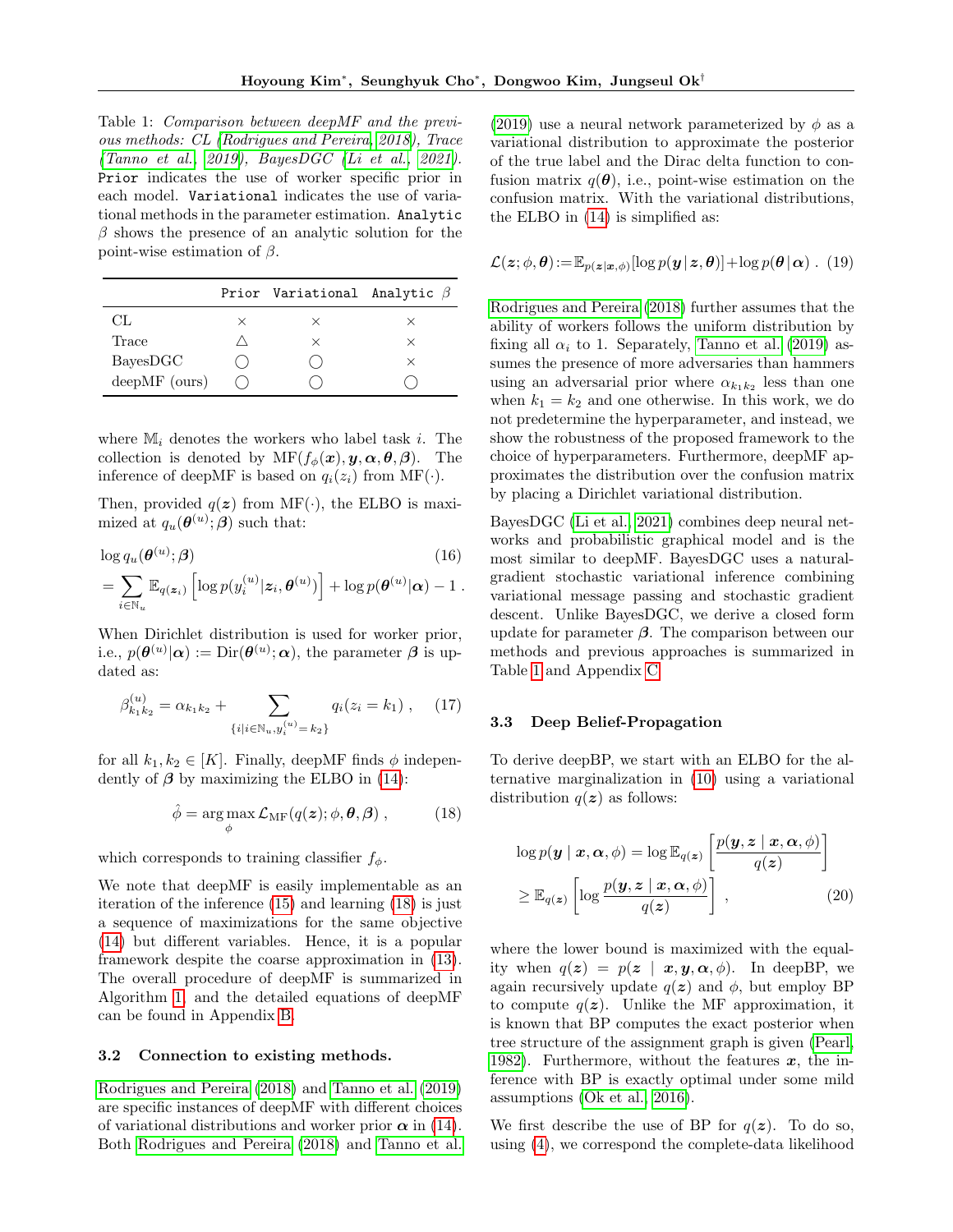<span id="page-4-3"></span>Table 1: Comparison between deepMF and the previous methods: CL [\(Rodrigues and Pereira, 2018\)](#page-9-4), Trace [\(Tanno et al., 2019\)](#page-9-5), BayesDGC [\(Li et al., 2021\)](#page-9-13). Prior indicates the use of worker specific prior in each model. Variational indicates the use of variational methods in the parameter estimation. Analytic  $\beta$  shows the presence of an analytic solution for the point-wise estimation of  $\beta$ .

|                 |   | Prior Variational Analytic $\beta$ |          |
|-----------------|---|------------------------------------|----------|
| CL.             | × | $\times$                           | $\times$ |
| Trace           |   | $\times$                           | ×        |
| BayesDGC        |   |                                    | $\times$ |
| $deepMF$ (ours) |   |                                    |          |

where  $M_i$  denotes the workers who label task i. The collection is denoted by  $MF(f_{\phi}(\boldsymbol{x}), \boldsymbol{y}, \boldsymbol{\alpha}, \boldsymbol{\theta}, \boldsymbol{\beta})$ . The inference of deepMF is based on  $q_i(z_i)$  from MF( $\cdot$ ).

Then, provided  $q(z)$  from MF( $\cdot$ ), the ELBO is maximized at  $q_u(\boldsymbol{\theta}^{(u)}; \boldsymbol{\beta})$  such that:

$$
\log q_u(\boldsymbol{\theta}^{(u)}; \boldsymbol{\beta}) \qquad (16)
$$
  
= 
$$
\sum_{i \in \mathbb{N}_u} \mathbb{E}_{q(\boldsymbol{z}_i)} \left[ \log p(y_i^{(u)} | \boldsymbol{z}_i, \boldsymbol{\theta}^{(u)}) \right] + \log p(\boldsymbol{\theta}^{(u)} | \boldsymbol{\alpha}) - 1.
$$

When Dirichlet distribution is used for worker prior, i.e.,  $p(\boldsymbol{\theta}^{(u)}|\boldsymbol{\alpha}) := \text{Dir}(\boldsymbol{\theta}^{(u)};\boldsymbol{\alpha})$ , the parameter  $\boldsymbol{\beta}$  is updated as:

$$
\beta_{k_1k_2}^{(u)} = \alpha_{k_1k_2} + \sum_{\{i|i \in \mathbb{N}_u, y_i^{(u)} = k_2\}} q_i(z_i = k_1), \quad (17)
$$

for all  $k_1, k_2 \in [K]$ . Finally, deepMF finds  $\phi$  independently of  $\beta$  by maximizing the ELBO in [\(14\)](#page-3-6):

<span id="page-4-2"></span>
$$
\hat{\phi} = \underset{\phi}{\arg \max} \mathcal{L}_{\mathrm{MF}}(q(\boldsymbol{z}); \phi, \boldsymbol{\theta}, \boldsymbol{\beta}) \,, \tag{18}
$$

which corresponds to training classifier  $f_{\phi}$ .

We note that deepMF is easily implementable as an iteration of the inference [\(15\)](#page-3-7) and learning [\(18\)](#page-4-2) is just a sequence of maximizations for the same objective [\(14\)](#page-3-6) but different variables. Hence, it is a popular framework despite the coarse approximation in [\(13\)](#page-3-4). The overall procedure of deepMF is summarized in Algorithm [1,](#page-3-8) and the detailed equations of deepMF can be found in Appendix [B.](#page-12-0)

## <span id="page-4-0"></span>3.2 Connection to existing methods.

[Rodrigues and Pereira](#page-9-4) [\(2018\)](#page-9-4) and [Tanno et al.](#page-9-5) [\(2019\)](#page-9-5) are specific instances of deepMF with different choices of variational distributions and worker prior  $\alpha$  in [\(14\)](#page-3-6). Both [Rodrigues and Pereira](#page-9-4) [\(2018\)](#page-9-4) and [Tanno et al.](#page-9-5)

[\(2019\)](#page-9-5) use a neural network parameterized by  $\phi$  as a variational distribution to approximate the posterior of the true label and the Dirac delta function to confusion matrix  $q(\boldsymbol{\theta})$ , i.e., point-wise estimation on the confusion matrix. With the variational distributions, the ELBO in [\(14\)](#page-3-6) is simplified as:

$$
\mathcal{L}(\boldsymbol{z};\phi,\boldsymbol{\theta}):=\mathbb{E}_{p(\boldsymbol{z}|\boldsymbol{x},\phi)}[\log p(\boldsymbol{y}|\boldsymbol{z},\boldsymbol{\theta})]+\log p(\boldsymbol{\theta}|\boldsymbol{\alpha})\ .\ (19)
$$

[Rodrigues and Pereira](#page-9-4) [\(2018\)](#page-9-4) further assumes that the ability of workers follows the uniform distribution by fixing all  $\alpha_i$  to 1. Separately, [Tanno et al.](#page-9-5) [\(2019\)](#page-9-5) assumes the presence of more adversaries than hammers using an adversarial prior where  $\alpha_{k_1k_2}$  less than one when  $k_1 = k_2$  and one otherwise. In this work, we do not predetermine the hyperparameter, and instead, we show the robustness of the proposed framework to the choice of hyperparameters. Furthermore, deepMF approximates the distribution over the confusion matrix by placing a Dirichlet variational distribution.

BayesDGC [\(Li et al., 2021\)](#page-9-13) combines deep neural networks and probabilistic graphical model and is the most similar to deepMF. BayesDGC uses a naturalgradient stochastic variational inference combining variational message passing and stochastic gradient descent. Unlike BayesDGC, we derive a closed form update for parameter  $\beta$ . The comparison between our methods and previous approaches is summarized in Table [1](#page-4-3) and Appendix [C](#page-13-0)

#### <span id="page-4-1"></span>3.3 Deep Belief-Propagation

To derive deepBP, we start with an ELBO for the alternative marginalization in [\(10\)](#page-3-2) using a variational distribution  $q(z)$  as follows:

<span id="page-4-4"></span>
$$
\log p(\mathbf{y} \mid \mathbf{x}, \alpha, \phi) = \log \mathbb{E}_{q(\mathbf{z})} \left[ \frac{p(\mathbf{y}, \mathbf{z} \mid \mathbf{x}, \alpha, \phi)}{q(\mathbf{z})} \right]
$$

$$
\geq \mathbb{E}_{q(\mathbf{z})} \left[ \log \frac{p(\mathbf{y}, \mathbf{z} \mid \mathbf{x}, \alpha, \phi)}{q(\mathbf{z})} \right],
$$
(20)

where the lower bound is maximized with the equality when  $q(z) = p(z | x, y, \alpha, \phi)$ . In deep BP, we again recursively update  $q(z)$  and  $\phi$ , but employ BP to compute  $q(z)$ . Unlike the MF approximation, it is known that BP computes the exact posterior when tree structure of the assignment graph is given [\(Pearl,](#page-9-7) [1982\)](#page-9-7). Furthermore, without the features  $x$ , the inference with BP is exactly optimal under some mild assumptions [\(Ok et al., 2016\)](#page-9-8).

We first describe the use of BP for  $q(z)$ . To do so, using [\(4\)](#page-2-2), we correspond the complete-data likelihood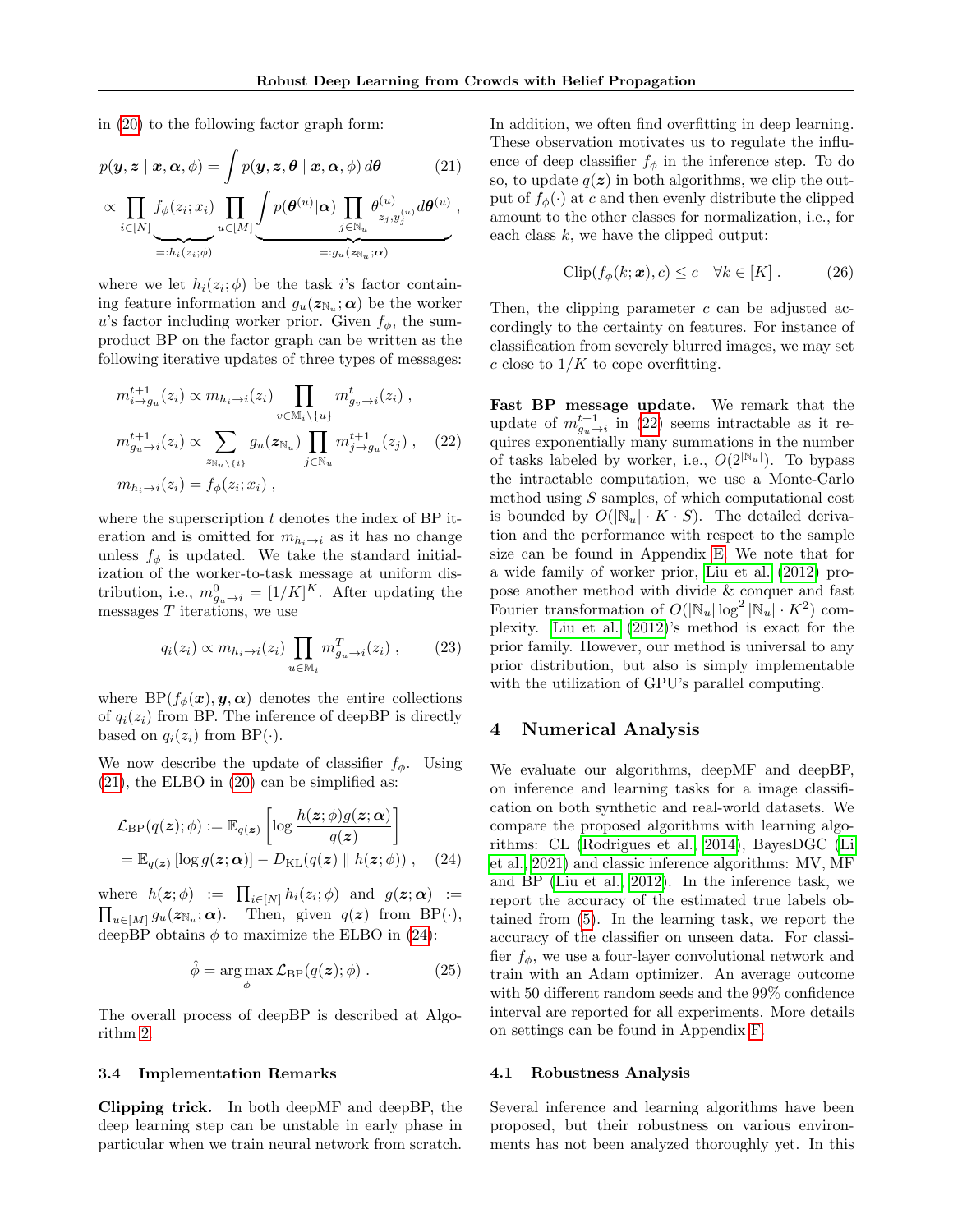<span id="page-5-1"></span>,

in [\(20\)](#page-4-4) to the following factor graph form:

$$
p(\mathbf{y}, \mathbf{z} \mid \mathbf{x}, \boldsymbol{\alpha}, \phi) = \int p(\mathbf{y}, \mathbf{z}, \boldsymbol{\theta} \mid \mathbf{x}, \boldsymbol{\alpha}, \phi) d\boldsymbol{\theta}
$$
 (21)

$$
\propto \prod_{i \in [N]} f_{\phi}(z_i; x_i) \prod_{u \in [M]} \underbrace{\int p(\theta^{(u)} | \alpha) \prod_{j \in \mathbb{N}_u} \theta^{(u)}_{z_j, y_j^{(u)}} d\theta^{(u)}}_{=:g_u(z_{\mathbb{N}_u}; \alpha)}
$$

where we let  $h_i(z_i; \phi)$  be the task i's factor containing feature information and  $g_u(z_{\mathbb{N}_u}; \alpha)$  be the worker u's factor including worker prior. Given  $f_{\phi}$ , the sumproduct BP on the factor graph can be written as the following iterative updates of three types of messages:

$$
m_{i \to g_u}^{t+1}(z_i) \propto m_{h_i \to i}(z_i) \prod_{v \in \mathbb{M}_i \backslash \{u\}} m_{g_v \to i}^t(z_i) ,
$$
  

$$
m_{g_u \to i}^{t+1}(z_i) \propto \sum_{z_{\mathbb{N}_u \backslash \{i\}} g_u(z_{\mathbb{N}_u})} \prod_{j \in \mathbb{N}_u} m_{j \to g_u}^{t+1}(z_j) , \quad (22)
$$
  

$$
m_{h_i \to i}(z_i) = f_{\phi}(z_i; x_i) ,
$$

where the superscription  $t$  denotes the index of BP iteration and is omitted for  $m_{h_i\to i}$  as it has no change unless  $f_{\phi}$  is updated. We take the standard initialization of the worker-to-task message at uniform distribution, i.e.,  $m_{g_u \to i}^0 = [1/K]^K$ . After updating the messages  $T$  iterations, we use

$$
q_i(z_i) \propto m_{h_i \to i}(z_i) \prod_{u \in \mathbb{M}_i} m_{g_u \to i}^T(z_i) ,\qquad(23)
$$

where  $BP(f_{\phi}(\boldsymbol{x}), \boldsymbol{y}, \boldsymbol{\alpha})$  denotes the entire collections of  $q_i(z_i)$  from BP. The inference of deepBP is directly based on  $q_i(z_i)$  from BP( $\cdot$ ).

We now describe the update of classifier  $f_{\phi}$ . Using  $(21)$ , the ELBO in  $(20)$  can be simplified as:

$$
\mathcal{L}_{\rm BP}(q(\boldsymbol{z});\phi) := \mathbb{E}_{q(\boldsymbol{z})} \left[ \log \frac{h(\boldsymbol{z};\phi)g(\boldsymbol{z};\boldsymbol{\alpha})}{q(\boldsymbol{z})} \right]
$$
  
=  $\mathbb{E}_{q(\boldsymbol{z})} [\log g(\boldsymbol{z};\boldsymbol{\alpha})] - D_{\rm KL}(q(\boldsymbol{z}) \parallel h(\boldsymbol{z};\phi)) , (24)$ 

where  $h(z; \phi) := \prod_{i \in [N]} h_i(z_i; \phi)$  and  $g(z; \alpha) :=$  $\prod_{u \in [M]} g_u(z_{\mathbb{N}_u}; \alpha)$ . Then, given  $q(z)$  from BP( $\cdot$ ), deepBP obtains  $\phi$  to maximize the ELBO in [\(24\)](#page-5-2):

$$
\hat{\phi} = \arg \max_{\phi} \mathcal{L}_{\mathrm{BP}}(q(\boldsymbol{z}); \phi) . \tag{25}
$$

The overall process of deepBP is described at Algorithm [2.](#page-3-8)

### <span id="page-5-0"></span>3.4 Implementation Remarks

Clipping trick. In both deepMF and deepBP, the deep learning step can be unstable in early phase in particular when we train neural network from scratch.

In addition, we often find overfitting in deep learning. These observation motivates us to regulate the influence of deep classifier  $f_{\phi}$  in the inference step. To do so, to update  $q(z)$  in both algorithms, we clip the output of  $f_{\phi}(\cdot)$  at c and then evenly distribute the clipped amount to the other classes for normalization, i.e., for each class  $k$ , we have the clipped output:

$$
\text{Clip}(f_{\phi}(k; \boldsymbol{x}), c) \leq c \quad \forall k \in [K]. \tag{26}
$$

Then, the clipping parameter  $c$  can be adjusted accordingly to the certainty on features. For instance of classification from severely blurred images, we may set c close to  $1/K$  to cope overfitting.

<span id="page-5-3"></span>Fast BP message update. We remark that the update of  $m_{g_u \to i}^{t+1}$  in [\(22\)](#page-5-3) seems intractable as it requires exponentially many summations in the number of tasks labeled by worker, i.e.,  $O(2^{|N_u|})$ . To bypass the intractable computation, we use a Monte-Carlo method using S samples, of which computational cost is bounded by  $O(|\mathbb{N}_u| \cdot K \cdot S)$ . The detailed derivation and the performance with respect to the sample size can be found in Appendix [E.](#page-15-0) We note that for a wide family of worker prior, [Liu et al.](#page-9-3) [\(2012\)](#page-9-3) propose another method with divide & conquer and fast Fourier transformation of  $O(|\mathbb{N}_u| \log^2 |\mathbb{N}_u| \cdot K^2)$  complexity. [Liu et al.](#page-9-3) [\(2012\)](#page-9-3)'s method is exact for the prior family. However, our method is universal to any prior distribution, but also is simply implementable with the utilization of GPU's parallel computing.

### 4 Numerical Analysis

<span id="page-5-2"></span>We evaluate our algorithms, deepMF and deepBP, on inference and learning tasks for a image classification on both synthetic and real-world datasets. We compare the proposed algorithms with learning algorithms: CL [\(Rodrigues et al., 2014\)](#page-9-14), BayesDGC [\(Li](#page-9-13) [et al., 2021\)](#page-9-13) and classic inference algorithms: MV, MF and BP [\(Liu et al., 2012\)](#page-9-3). In the inference task, we report the accuracy of the estimated true labels obtained from [\(5\)](#page-2-0). In the learning task, we report the accuracy of the classifier on unseen data. For classifier  $f_{\phi}$ , we use a four-layer convolutional network and train with an Adam optimizer. An average outcome with 50 different random seeds and the 99% confidence interval are reported for all experiments. More details on settings can be found in Appendix [F.](#page-17-0)

### 4.1 Robustness Analysis

Several inference and learning algorithms have been proposed, but their robustness on various environments has not been analyzed thoroughly yet. In this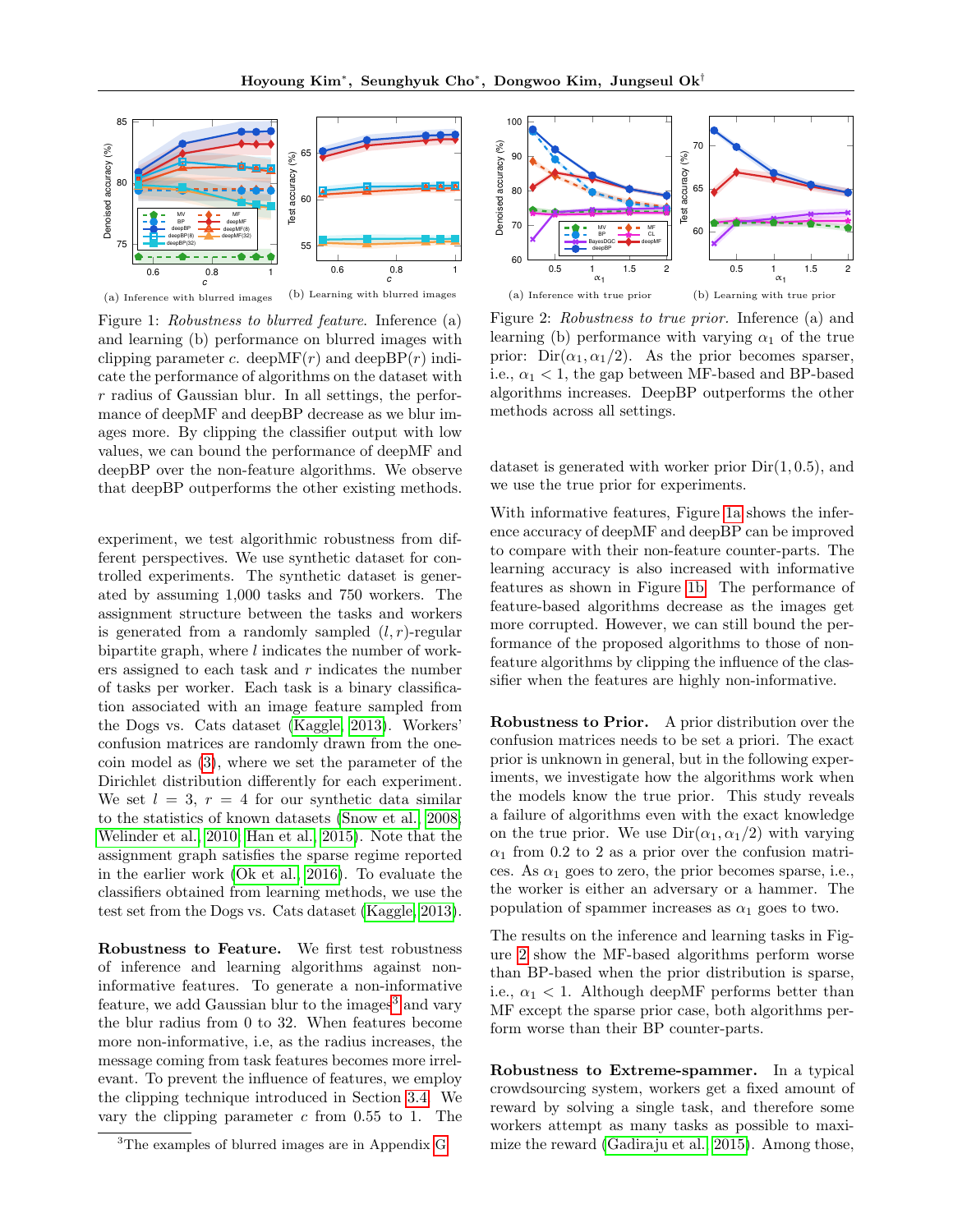<span id="page-6-0"></span>

(a) Inference with blurred images (b) Learning with blurred images

Figure 1: Robustness to blurred feature. Inference (a) and learning (b) performance on blurred images with clipping parameter c. deep $MF(r)$  and deep $BP(r)$  indicate the performance of algorithms on the dataset with  $r$  radius of Gaussian blur. In all settings, the performance of deepMF and deepBP decrease as we blur images more. By clipping the classifier output with low values, we can bound the performance of deepMF and deepBP over the non-feature algorithms. We observe that deepBP outperforms the other existing methods.

experiment, we test algorithmic robustness from different perspectives. We use synthetic dataset for controlled experiments. The synthetic dataset is generated by assuming 1,000 tasks and 750 workers. The assignment structure between the tasks and workers is generated from a randomly sampled  $(l, r)$ -regular bipartite graph, where  $l$  indicates the number of workers assigned to each task and  $r$  indicates the number of tasks per worker. Each task is a binary classification associated with an image feature sampled from the Dogs vs. Cats dataset [\(Kaggle, 2013\)](#page-9-15). Workers' confusion matrices are randomly drawn from the onecoin model as [\(3\)](#page-2-3), where we set the parameter of the Dirichlet distribution differently for each experiment. We set  $l = 3$ ,  $r = 4$  for our synthetic data similar to the statistics of known datasets [\(Snow et al., 2008;](#page-9-16) [Welinder et al., 2010;](#page-10-1) [Han et al., 2015\)](#page-9-17). Note that the assignment graph satisfies the sparse regime reported in the earlier work [\(Ok et al., 2016\)](#page-9-8). To evaluate the classifiers obtained from learning methods, we use the test set from the Dogs vs. Cats dataset [\(Kaggle, 2013\)](#page-9-15).

<span id="page-6-2"></span>Robustness to Feature. We first test robustness of inference and learning algorithms against noninformative features. To generate a non-informative feature, we add Gaussian blur to the images<sup>[3](#page-0-0)</sup> and vary the blur radius from 0 to 32. When features become more non-informative, i.e, as the radius increases, the message coming from task features becomes more irrelevant. To prevent the influence of features, we employ the clipping technique introduced in Section [3.4.](#page-5-0) We vary the clipping parameter  $c$  from 0.55 to 1. The

<span id="page-6-1"></span>

Figure 2: Robustness to true prior. Inference (a) and learning (b) performance with varying  $\alpha_1$  of the true prior:  $Dir(\alpha_1, \alpha_1/2)$ . As the prior becomes sparser, i.e.,  $\alpha_1 < 1$ , the gap between MF-based and BP-based algorithms increases. DeepBP outperforms the other methods across all settings.

dataset is generated with worker prior  $Dir(1, 0.5)$ , and we use the true prior for experiments.

With informative features, Figure [1a](#page-6-0) shows the inference accuracy of deepMF and deepBP can be improved to compare with their non-feature counter-parts. The learning accuracy is also increased with informative features as shown in Figure [1b.](#page-6-0) The performance of feature-based algorithms decrease as the images get more corrupted. However, we can still bound the performance of the proposed algorithms to those of nonfeature algorithms by clipping the influence of the classifier when the features are highly non-informative.

Robustness to Prior. A prior distribution over the confusion matrices needs to be set a priori. The exact prior is unknown in general, but in the following experiments, we investigate how the algorithms work when the models know the true prior. This study reveals a failure of algorithms even with the exact knowledge on the true prior. We use  $Dir(\alpha_1, \alpha_1/2)$  with varying  $\alpha_1$  from 0.2 to 2 as a prior over the confusion matrices. As  $\alpha_1$  goes to zero, the prior becomes sparse, i.e., the worker is either an adversary or a hammer. The population of spammer increases as  $\alpha_1$  goes to two.

The results on the inference and learning tasks in Figure [2](#page-6-1) show the MF-based algorithms perform worse than BP-based when the prior distribution is sparse, i.e.,  $\alpha_1$  < 1. Although deepMF performs better than MF except the sparse prior case, both algorithms perform worse than their BP counter-parts.

<span id="page-6-3"></span>Robustness to Extreme-spammer. In a typical crowdsourcing system, workers get a fixed amount of reward by solving a single task, and therefore some workers attempt as many tasks as possible to maximize the reward [\(Gadiraju et al., 2015\)](#page-9-18). Among those,

<sup>3</sup>The examples of blurred images are in Appendix [G](#page-18-0)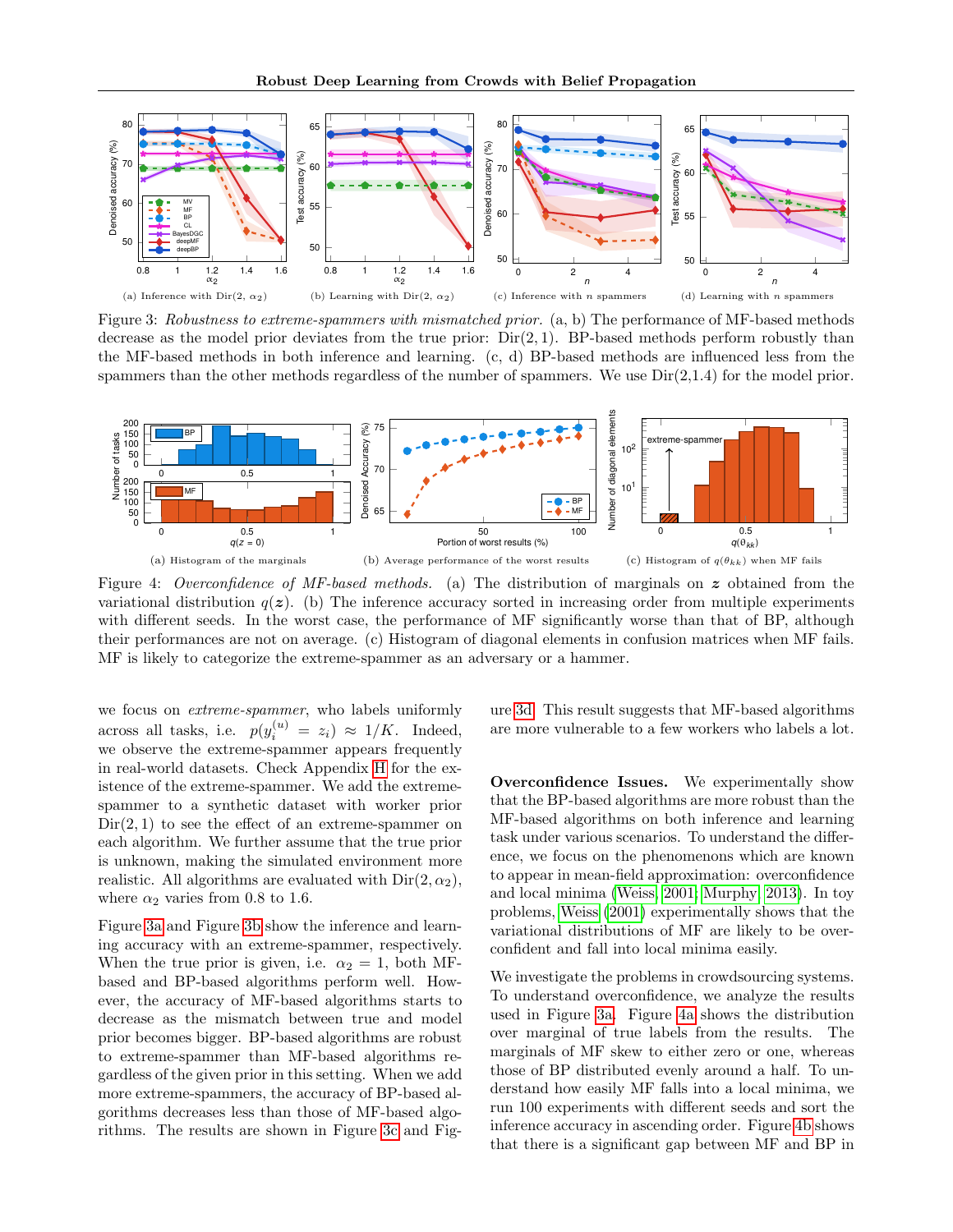<span id="page-7-0"></span>

Figure 3: Robustness to extreme-spammers with mismatched prior. (a, b) The performance of MF-based methods decrease as the model prior deviates from the true prior:  $Dir(2, 1)$ . BP-based methods perform robustly than the MF-based methods in both inference and learning. (c, d) BP-based methods are influenced less from the spammers than the other methods regardless of the number of spammers. We use  $Dir(2,1.4)$  for the model prior.

<span id="page-7-1"></span>

Figure 4: Overconfidence of MF-based methods. (a) The distribution of marginals on  $z$  obtained from the variational distribution  $q(z)$ . (b) The inference accuracy sorted in increasing order from multiple experiments with different seeds. In the worst case, the performance of MF significantly worse than that of BP, although their performances are not on average. (c) Histogram of diagonal elements in confusion matrices when MF fails. MF is likely to categorize the extreme-spammer as an adversary or a hammer.

we focus on *extreme-spammer*, who labels uniformly across all tasks, i.e.  $p(y_i^{(u)} = z_i) \approx 1/K$ . Indeed, we observe the extreme-spammer appears frequently in real-world datasets. Check Appendix [H](#page-19-0) for the existence of the extreme-spammer. We add the extremespammer to a synthetic dataset with worker prior  $Dir(2, 1)$  to see the effect of an extreme-spammer on each algorithm. We further assume that the true prior is unknown, making the simulated environment more realistic. All algorithms are evaluated with  $Dir(2, \alpha_2)$ , where  $\alpha_2$  varies from 0.8 to 1.6.

Figure [3a](#page-7-0) and Figure [3b](#page-7-0) show the inference and learning accuracy with an extreme-spammer, respectively. When the true prior is given, i.e.  $\alpha_2 = 1$ , both MFbased and BP-based algorithms perform well. However, the accuracy of MF-based algorithms starts to decrease as the mismatch between true and model prior becomes bigger. BP-based algorithms are robust to extreme-spammer than MF-based algorithms regardless of the given prior in this setting. When we add more extreme-spammers, the accuracy of BP-based algorithms decreases less than those of MF-based algorithms. The results are shown in Figure [3c](#page-7-0) and Figure [3d.](#page-7-0) This result suggests that MF-based algorithms are more vulnerable to a few workers who labels a lot.

Overconfidence Issues. We experimentally show that the BP-based algorithms are more robust than the MF-based algorithms on both inference and learning task under various scenarios. To understand the difference, we focus on the phenomenons which are known to appear in mean-field approximation: overconfidence and local minima [\(Weiss, 2001;](#page-10-2) [Murphy, 2013\)](#page-9-6). In toy problems, [Weiss](#page-10-2) [\(2001\)](#page-10-2) experimentally shows that the variational distributions of MF are likely to be overconfident and fall into local minima easily.

We investigate the problems in crowdsourcing systems. To understand overconfidence, we analyze the results used in Figure [3a.](#page-7-0) Figure [4a](#page-7-1) shows the distribution over marginal of true labels from the results. The marginals of MF skew to either zero or one, whereas those of BP distributed evenly around a half. To understand how easily MF falls into a local minima, we run 100 experiments with different seeds and sort the inference accuracy in ascending order. Figure [4b](#page-7-1) shows that there is a significant gap between MF and BP in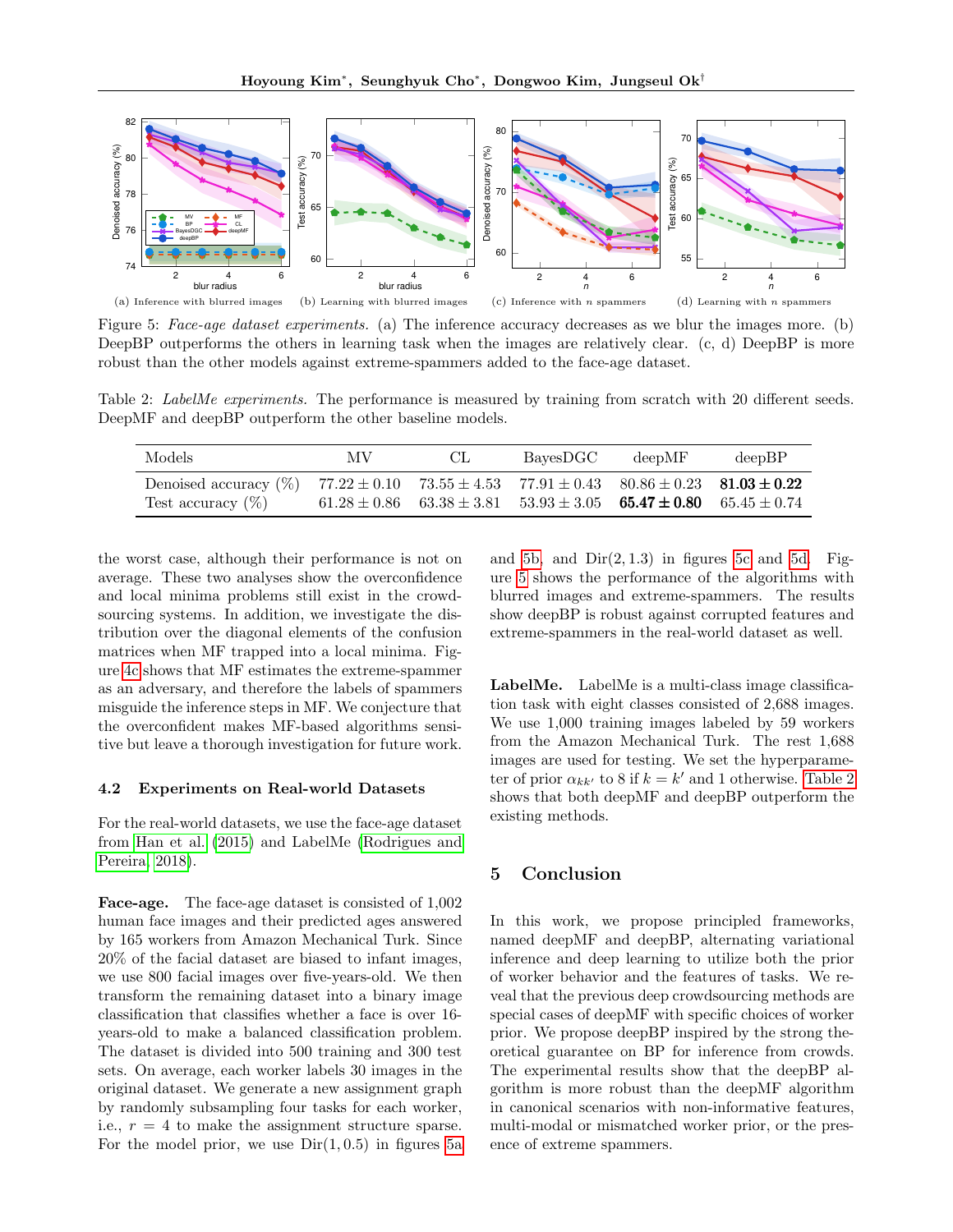<span id="page-8-0"></span>

Figure 5: Face-age dataset experiments. (a) The inference accuracy decreases as we blur the images more. (b) DeepBP outperforms the others in learning task when the images are relatively clear. (c, d) DeepBP is more robust than the other models against extreme-spammers added to the face-age dataset.

<span id="page-8-1"></span>Table 2: LabelMe experiments. The performance is measured by training from scratch with 20 different seeds. DeepMF and deepBP outperform the other baseline models.

| Models                                                                                                                                               | M V | CL.                                                                                  | BayesDGC | deepMF | deepBP |
|------------------------------------------------------------------------------------------------------------------------------------------------------|-----|--------------------------------------------------------------------------------------|----------|--------|--------|
| Denoised accuracy (%) $77.22 \pm 0.10$ $73.55 \pm 4.53$ $77.91 \pm 0.43$ $80.86 \pm 0.23$ <b>81.03 <math>\pm 0.22</math></b><br>Test accuracy $(\%)$ |     | $61.28 \pm 0.86$ $63.38 \pm 3.81$ $53.93 \pm 3.05$ $65.47 \pm 0.80$ $65.45 \pm 0.74$ |          |        |        |

the worst case, although their performance is not on average. These two analyses show the overconfidence and local minima problems still exist in the crowdsourcing systems. In addition, we investigate the distribution over the diagonal elements of the confusion matrices when MF trapped into a local minima. Figure [4c](#page-7-1) shows that MF estimates the extreme-spammer as an adversary, and therefore the labels of spammers misguide the inference steps in MF. We conjecture that the overconfident makes MF-based algorithms sensitive but leave a thorough investigation for future work.

## 4.2 Experiments on Real-world Datasets

For the real-world datasets, we use the face-age dataset from [Han et al.](#page-9-17) [\(2015\)](#page-9-17) and LabelMe [\(Rodrigues and](#page-9-4) [Pereira, 2018\)](#page-9-4).

Face-age. The face-age dataset is consisted of 1,002 human face images and their predicted ages answered by 165 workers from Amazon Mechanical Turk. Since 20% of the facial dataset are biased to infant images, we use 800 facial images over five-years-old. We then transform the remaining dataset into a binary image classification that classifies whether a face is over 16 years-old to make a balanced classification problem. The dataset is divided into 500 training and 300 test sets. On average, each worker labels 30 images in the original dataset. We generate a new assignment graph by randomly subsampling four tasks for each worker, i.e.,  $r = 4$  to make the assignment structure sparse. For the model prior, we use  $Dir(1, 0.5)$  in figures [5a](#page-8-0) and [5b,](#page-8-0) and  $Dir(2, 1.3)$  in figures [5c](#page-8-0) and [5d.](#page-8-0) Figure [5](#page-8-0) shows the performance of the algorithms with blurred images and extreme-spammers. The results show deepBP is robust against corrupted features and extreme-spammers in the real-world dataset as well.

LabelMe. LabelMe is a multi-class image classification task with eight classes consisted of 2,688 images. We use 1,000 training images labeled by 59 workers from the Amazon Mechanical Turk. The rest 1,688 images are used for testing. We set the hyperparameter of prior  $\alpha_{kk'}$  to 8 if  $k = k'$  and 1 otherwise. [Table 2](#page-8-1) shows that both deepMF and deepBP outperform the existing methods.

# 5 Conclusion

In this work, we propose principled frameworks, named deepMF and deepBP, alternating variational inference and deep learning to utilize both the prior of worker behavior and the features of tasks. We reveal that the previous deep crowdsourcing methods are special cases of deepMF with specific choices of worker prior. We propose deepBP inspired by the strong theoretical guarantee on BP for inference from crowds. The experimental results show that the deepBP algorithm is more robust than the deepMF algorithm in canonical scenarios with non-informative features, multi-modal or mismatched worker prior, or the presence of extreme spammers.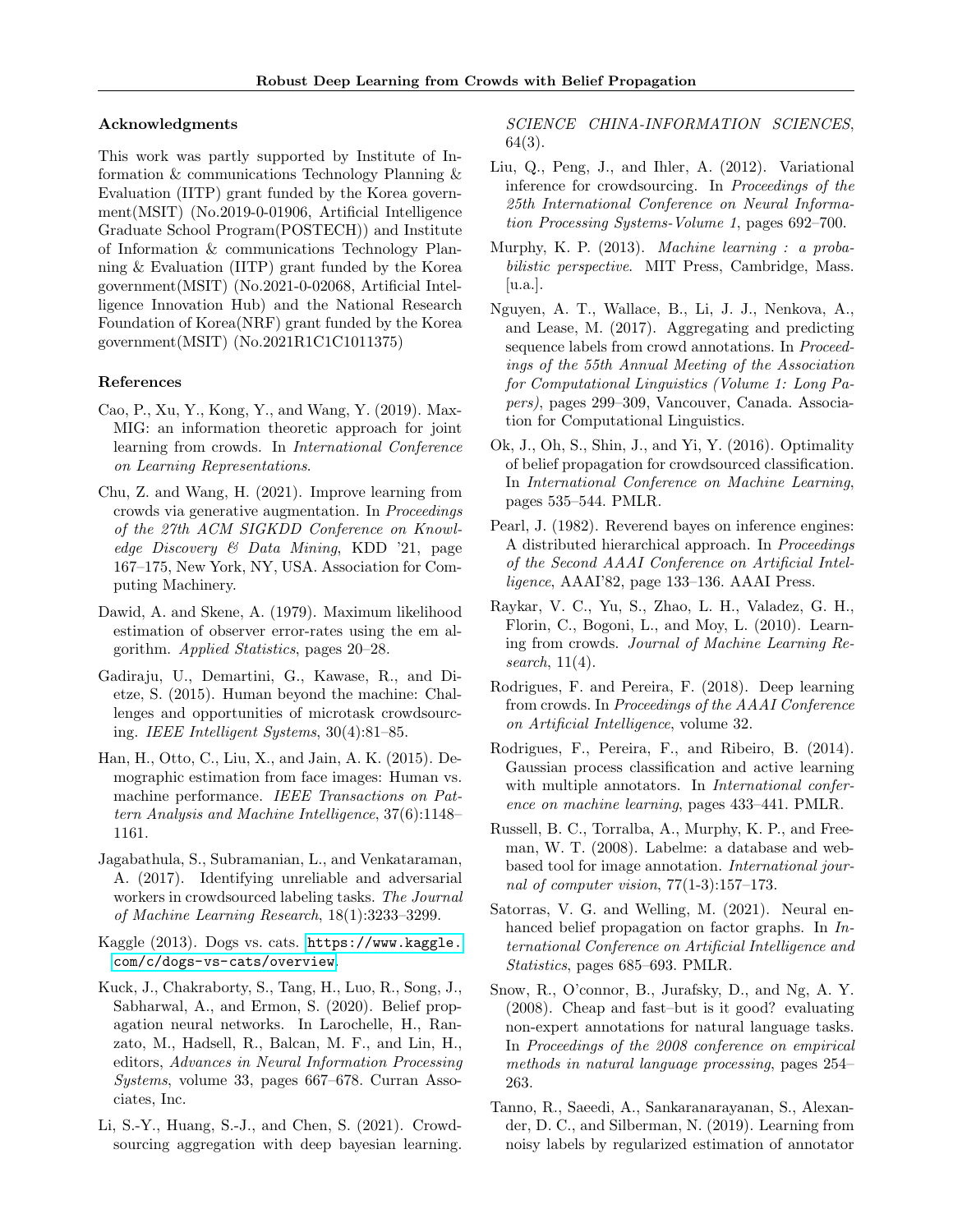## Acknowledgments

This work was partly supported by Institute of Information & communications Technology Planning & Evaluation (IITP) grant funded by the Korea government(MSIT) (No.2019-0-01906, Artificial Intelligence Graduate School Program(POSTECH)) and Institute of Information & communications Technology Planning & Evaluation (IITP) grant funded by the Korea government(MSIT) (No.2021-0-02068, Artificial Intelligence Innovation Hub) and the National Research Foundation of Korea(NRF) grant funded by the Korea government(MSIT) (No.2021R1C1C1011375)

## References

- <span id="page-9-20"></span>Cao, P., Xu, Y., Kong, Y., and Wang, Y. (2019). Max-MIG: an information theoretic approach for joint learning from crowds. In International Conference on Learning Representations.
- <span id="page-9-10"></span>Chu, Z. and Wang, H. (2021). Improve learning from crowds via generative augmentation. In Proceedings of the 27th ACM SIGKDD Conference on Knowledge Discovery & Data Mining, KDD '21, page 167–175, New York, NY, USA. Association for Computing Machinery.
- <span id="page-9-1"></span>Dawid, A. and Skene, A. (1979). Maximum likelihood estimation of observer error-rates using the em algorithm. Applied Statistics, pages 20–28.
- <span id="page-9-18"></span>Gadiraju, U., Demartini, G., Kawase, R., and Dietze, S. (2015). Human beyond the machine: Challenges and opportunities of microtask crowdsourcing. IEEE Intelligent Systems, 30(4):81–85.
- <span id="page-9-17"></span>Han, H., Otto, C., Liu, X., and Jain, A. K. (2015). Demographic estimation from face images: Human vs. machine performance. IEEE Transactions on Pattern Analysis and Machine Intelligence, 37(6):1148– 1161.
- <span id="page-9-0"></span>Jagabathula, S., Subramanian, L., and Venkataraman, A. (2017). Identifying unreliable and adversarial workers in crowdsourced labeling tasks. The Journal of Machine Learning Research, 18(1):3233–3299.
- <span id="page-9-15"></span>Kaggle (2013). Dogs vs. cats. [https://www.kaggle.](https://www.kaggle.com/c/dogs-vs-cats/overview) [com/c/dogs-vs-cats/overview](https://www.kaggle.com/c/dogs-vs-cats/overview).
- <span id="page-9-11"></span>Kuck, J., Chakraborty, S., Tang, H., Luo, R., Song, J., Sabharwal, A., and Ermon, S. (2020). Belief propagation neural networks. In Larochelle, H., Ranzato, M., Hadsell, R., Balcan, M. F., and Lin, H., editors, Advances in Neural Information Processing Systems, volume 33, pages 667–678. Curran Associates, Inc.
- <span id="page-9-13"></span>Li, S.-Y., Huang, S.-J., and Chen, S. (2021). Crowdsourcing aggregation with deep bayesian learning.

SCIENCE CHINA-INFORMATION SCIENCES, 64(3).

- <span id="page-9-3"></span>Liu, Q., Peng, J., and Ihler, A. (2012). Variational inference for crowdsourcing. In Proceedings of the 25th International Conference on Neural Information Processing Systems-Volume 1, pages 692–700.
- <span id="page-9-6"></span>Murphy, K. P. (2013). Machine learning : a probabilistic perspective. MIT Press, Cambridge, Mass. [u.a.].
- <span id="page-9-9"></span>Nguyen, A. T., Wallace, B., Li, J. J., Nenkova, A., and Lease, M. (2017). Aggregating and predicting sequence labels from crowd annotations. In Proceedings of the 55th Annual Meeting of the Association for Computational Linguistics (Volume 1: Long Papers), pages 299–309, Vancouver, Canada. Association for Computational Linguistics.
- <span id="page-9-8"></span>Ok, J., Oh, S., Shin, J., and Yi, Y. (2016). Optimality of belief propagation for crowdsourced classification. In International Conference on Machine Learning, pages 535–544. PMLR.
- <span id="page-9-7"></span>Pearl, J. (1982). Reverend bayes on inference engines: A distributed hierarchical approach. In Proceedings of the Second AAAI Conference on Artificial Intelligence, AAAI'82, page 133–136. AAAI Press.
- <span id="page-9-2"></span>Raykar, V. C., Yu, S., Zhao, L. H., Valadez, G. H., Florin, C., Bogoni, L., and Moy, L. (2010). Learning from crowds. Journal of Machine Learning Research, 11(4).
- <span id="page-9-4"></span>Rodrigues, F. and Pereira, F. (2018). Deep learning from crowds. In Proceedings of the AAAI Conference on Artificial Intelligence, volume 32.
- <span id="page-9-14"></span>Rodrigues, F., Pereira, F., and Ribeiro, B. (2014). Gaussian process classification and active learning with multiple annotators. In *International confer*ence on machine learning, pages 433–441. PMLR.
- <span id="page-9-19"></span>Russell, B. C., Torralba, A., Murphy, K. P., and Freeman, W. T. (2008). Labelme: a database and webbased tool for image annotation. International journal of computer vision, 77(1-3):157–173.
- <span id="page-9-12"></span>Satorras, V. G. and Welling, M. (2021). Neural enhanced belief propagation on factor graphs. In International Conference on Artificial Intelligence and Statistics, pages 685–693. PMLR.
- <span id="page-9-16"></span>Snow, R., O'connor, B., Jurafsky, D., and Ng, A. Y. (2008). Cheap and fast–but is it good? evaluating non-expert annotations for natural language tasks. In Proceedings of the 2008 conference on empirical methods in natural language processing, pages 254– 263.
- <span id="page-9-5"></span>Tanno, R., Saeedi, A., Sankaranarayanan, S., Alexander, D. C., and Silberman, N. (2019). Learning from noisy labels by regularized estimation of annotator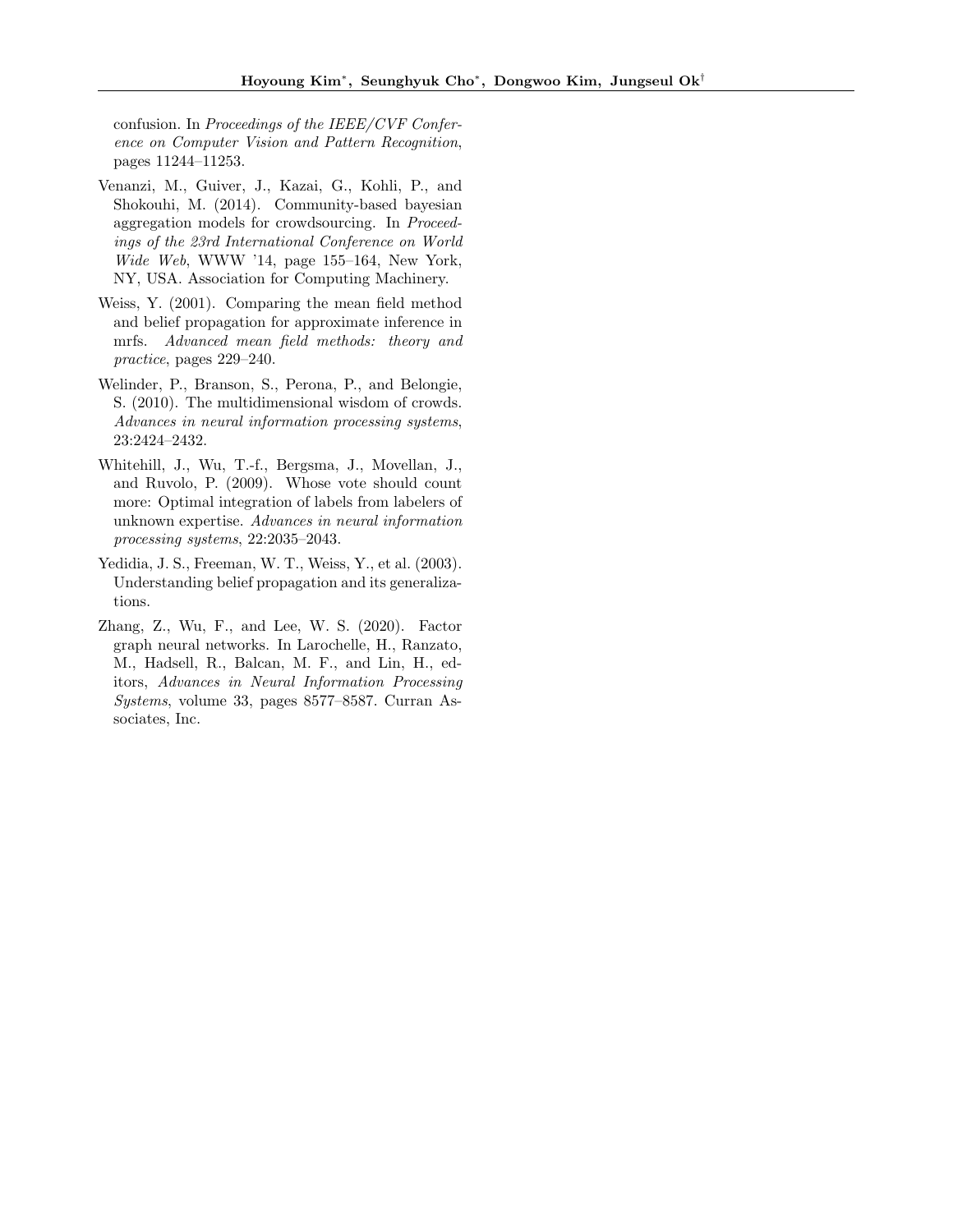confusion. In Proceedings of the IEEE/CVF Conference on Computer Vision and Pattern Recognition, pages 11244–11253.

- <span id="page-10-4"></span>Venanzi, M., Guiver, J., Kazai, G., Kohli, P., and Shokouhi, M. (2014). Community-based bayesian aggregation models for crowdsourcing. In Proceedings of the 23rd International Conference on World Wide Web, WWW '14, page 155–164, New York, NY, USA. Association for Computing Machinery.
- <span id="page-10-2"></span>Weiss, Y. (2001). Comparing the mean field method and belief propagation for approximate inference in mrfs. Advanced mean field methods: theory and practice, pages 229–240.
- <span id="page-10-1"></span>Welinder, P., Branson, S., Perona, P., and Belongie, S. (2010). The multidimensional wisdom of crowds. Advances in neural information processing systems, 23:2424–2432.
- <span id="page-10-0"></span>Whitehill, J., Wu, T.-f., Bergsma, J., Movellan, J., and Ruvolo, P. (2009). Whose vote should count more: Optimal integration of labels from labelers of unknown expertise. Advances in neural information processing systems, 22:2035–2043.
- <span id="page-10-3"></span>Yedidia, J. S., Freeman, W. T., Weiss, Y., et al. (2003). Understanding belief propagation and its generalizations.
- <span id="page-10-5"></span>Zhang, Z., Wu, F., and Lee, W. S. (2020). Factor graph neural networks. In Larochelle, H., Ranzato, M., Hadsell, R., Balcan, M. F., and Lin, H., editors, Advances in Neural Information Processing Systems, volume 33, pages 8577–8587. Curran Associates, Inc.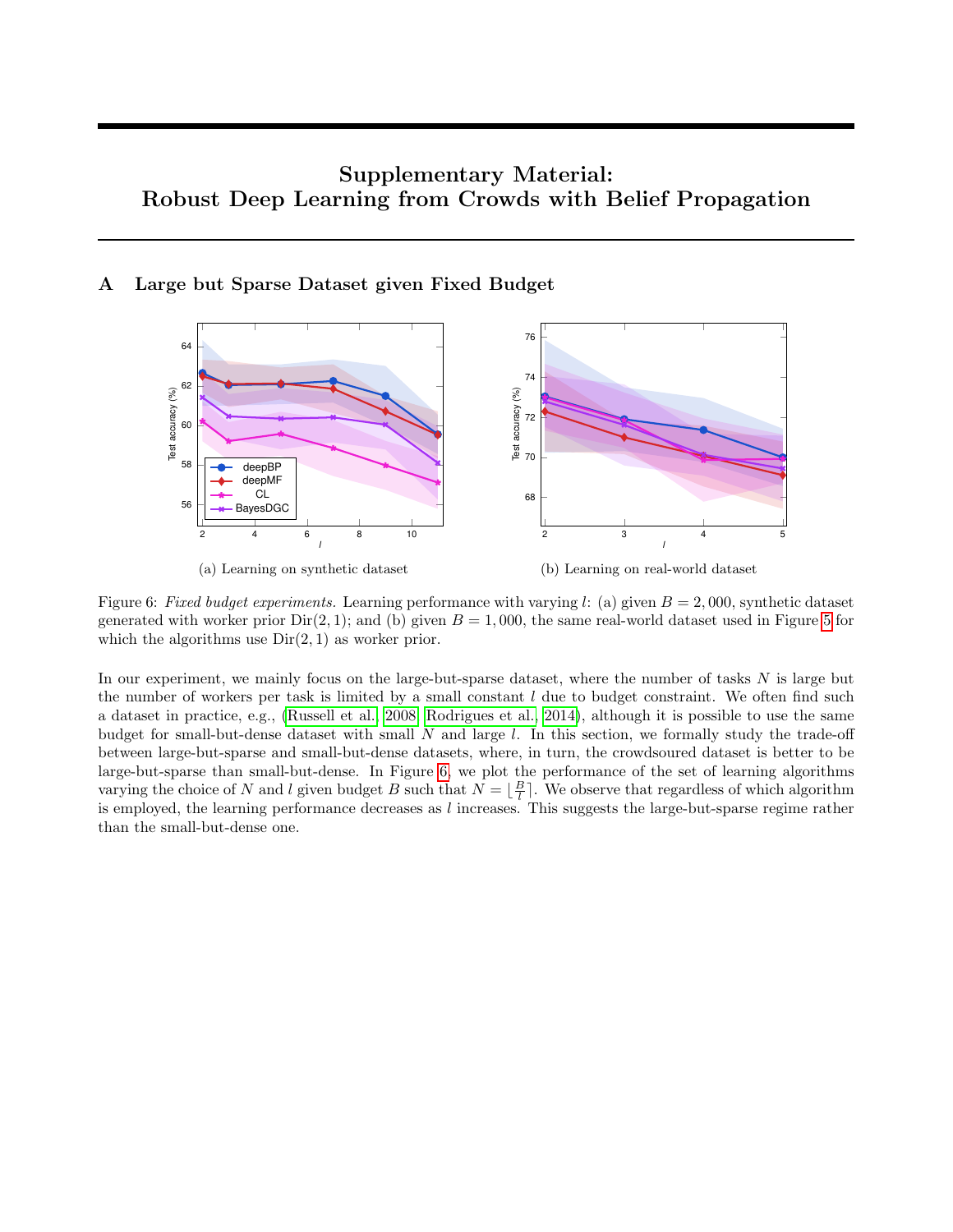# Supplementary Material: Robust Deep Learning from Crowds with Belief Propagation

# <span id="page-11-1"></span><span id="page-11-0"></span>A Large but Sparse Dataset given Fixed Budget



Figure 6: Fixed budget experiments. Learning performance with varying l: (a) given  $B = 2,000$ , synthetic dataset generated with worker prior  $Dir(2, 1)$ ; and (b) given  $B = 1,000$ , the same real-world dataset used in Figure [5](#page-8-0) for which the algorithms use  $Dir(2, 1)$  as worker prior.

In our experiment, we mainly focus on the large-but-sparse dataset, where the number of tasks  $N$  is large but the number of workers per task is limited by a small constant  $l$  due to budget constraint. We often find such a dataset in practice, e.g., [\(Russell et al., 2008;](#page-9-19) [Rodrigues et al., 2014\)](#page-9-14), although it is possible to use the same budget for small-but-dense dataset with small  $N$  and large  $l$ . In this section, we formally study the trade-off between large-but-sparse and small-but-dense datasets, where, in turn, the crowdsoured dataset is better to be large-but-sparse than small-but-dense. In Figure [6,](#page-11-1) we plot the performance of the set of learning algorithms varying the choice of N and l given budget B such that  $N = \lfloor \frac{B}{l} \rfloor$ . We observe that regardless of which algorithm is employed, the learning performance decreases as  $l$  increases. This suggests the large-but-sparse regime rather than the small-but-dense one.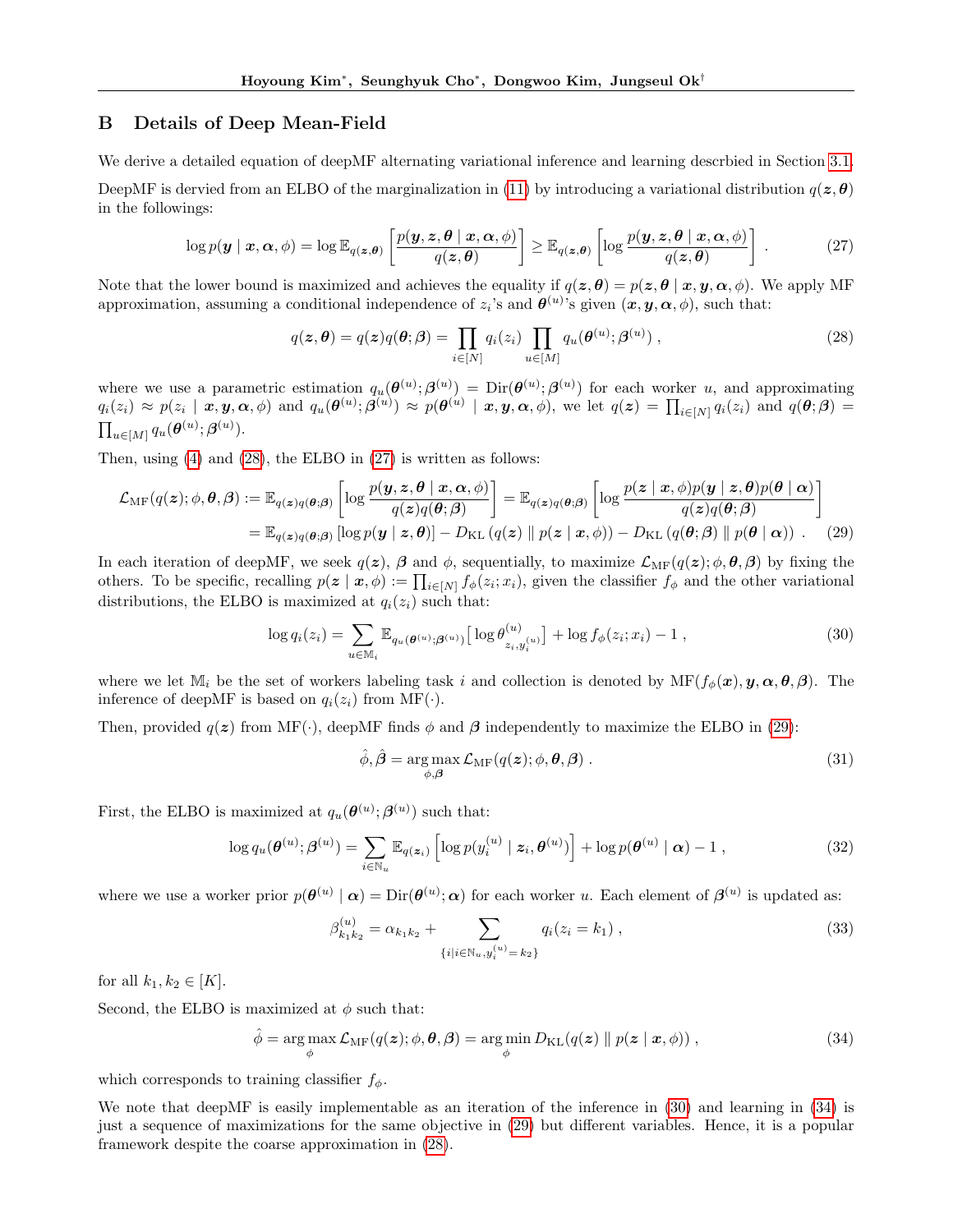# <span id="page-12-0"></span>B Details of Deep Mean-Field

We derive a detailed equation of deepMF alternating variational inference and learning descrbied in Section [3.1.](#page-3-0)

DeepMF is dervied from an ELBO of the marginalization in [\(11\)](#page-3-3) by introducing a variational distribution  $q(z, \theta)$ in the followings:

<span id="page-12-2"></span>
$$
\log p(\boldsymbol{y} \mid \boldsymbol{x}, \boldsymbol{\alpha}, \phi) = \log \mathbb{E}_{q(\boldsymbol{z}, \boldsymbol{\theta})} \left[ \frac{p(\boldsymbol{y}, \boldsymbol{z}, \boldsymbol{\theta} \mid \boldsymbol{x}, \boldsymbol{\alpha}, \phi)}{q(\boldsymbol{z}, \boldsymbol{\theta})} \right] \geq \mathbb{E}_{q(\boldsymbol{z}, \boldsymbol{\theta})} \left[ \log \frac{p(\boldsymbol{y}, \boldsymbol{z}, \boldsymbol{\theta} \mid \boldsymbol{x}, \boldsymbol{\alpha}, \phi)}{q(\boldsymbol{z}, \boldsymbol{\theta})} \right].
$$
 (27)

Note that the lower bound is maximized and achieves the equality if  $q(z, \theta) = p(z, \theta | x, y, \alpha, \phi)$ . We apply MF approximation, assuming a conditional independence of  $z_i$ 's and  $\theta^{(u)}$ 's given  $(x, y, \alpha, \phi)$ , such that:

<span id="page-12-1"></span>
$$
q(\boldsymbol{z}, \boldsymbol{\theta}) = q(\boldsymbol{z})q(\boldsymbol{\theta}; \boldsymbol{\beta}) = \prod_{i \in [N]} q_i(z_i) \prod_{u \in [M]} q_u(\boldsymbol{\theta}^{(u)}; \boldsymbol{\beta}^{(u)}) ,
$$
\n(28)

where we use a parametric estimation  $q_u(\theta^{(u)}; \beta^{(u)}) = \text{Dir}(\theta^{(u)}; \beta^{(u)})$  for each worker u, and approximating  $q_i(z_i) \approx p(z_i \mid \bm{x}, \bm{y}, \bm{\alpha}, \phi)$  and  $q_u(\bm{\theta}^{(u)}; \bm{\beta}^{(u)}) \approx p(\bm{\theta}^{(u)} \mid \bm{x}, \bm{y}, \bm{\alpha}, \phi)$ , we let  $q(\bm{z}) = \prod_{i \in [N]} q_i(z_i)$  and  $q(\bm{\theta}; \bm{\beta}) =$  $\prod_{u\in [M]}q_u(\boldsymbol{\theta}^{(u)};\boldsymbol{\beta}^{(u)}).$ 

Then, using [\(4\)](#page-2-2) and [\(28\)](#page-12-1), the ELBO in [\(27\)](#page-12-2) is written as follows:

$$
\mathcal{L}_{\text{MF}}(q(\boldsymbol{z});\phi,\boldsymbol{\theta},\boldsymbol{\beta}) := \mathbb{E}_{q(\boldsymbol{z})q(\boldsymbol{\theta};\boldsymbol{\beta})} \left[ \log \frac{p(\boldsymbol{y},\boldsymbol{z},\boldsymbol{\theta} \mid \boldsymbol{x},\boldsymbol{\alpha},\phi)}{q(\boldsymbol{z})q(\boldsymbol{\theta};\boldsymbol{\beta})} \right] = \mathbb{E}_{q(\boldsymbol{z})q(\boldsymbol{\theta};\boldsymbol{\beta})} \left[ \log \frac{p(\boldsymbol{z} \mid \boldsymbol{x},\phi)p(\boldsymbol{y} \mid \boldsymbol{z},\boldsymbol{\theta})p(\boldsymbol{\theta} \mid \boldsymbol{\alpha})}{q(\boldsymbol{z})q(\boldsymbol{\theta};\boldsymbol{\beta})} \right]
$$
  
\n
$$
= \mathbb{E}_{q(\boldsymbol{z})q(\boldsymbol{\theta};\boldsymbol{\beta})} \left[ \log p(\boldsymbol{y} \mid \boldsymbol{z},\boldsymbol{\theta}) \right] - D_{\text{KL}}(q(\boldsymbol{z}) \parallel p(\boldsymbol{z} \mid \boldsymbol{x},\phi)) - D_{\text{KL}}(q(\boldsymbol{\theta};\boldsymbol{\beta}) \parallel p(\boldsymbol{\theta} \mid \boldsymbol{\alpha})) . \tag{29}
$$

In each iteration of deepMF, we seek  $q(z)$ ,  $\beta$  and  $\phi$ , sequentially, to maximize  $\mathcal{L}_{\text{MF}}(q(z); \phi, \theta, \beta)$  by fixing the others. To be specific, recalling  $p(z | x, \phi) := \prod_{i \in [N]} f_{\phi}(z_i; x_i)$ , given the classifier  $f_{\phi}$  and the other variational distributions, the ELBO is maximized at  $q_i(z_i)$  such that:

<span id="page-12-4"></span>
$$
\log q_i(z_i) = \sum_{u \in \mathbb{M}_i} \mathbb{E}_{q_u(\theta^{(u)}; \beta^{(u)})} \left[ \log \theta^{(u)}_{z_i, y_i^{(u)}} \right] + \log f_{\phi}(z_i; x_i) - 1 , \qquad (30)
$$

where we let  $M_i$  be the set of workers labeling task i and collection is denoted by  $MF(f_\phi(\bm{x}), \bm{y}, \bm{\alpha}, \bm{\theta}, \bm{\beta})$ . The inference of deepMF is based on  $q_i(z_i)$  from MF( $\cdot$ ).

Then, provided  $q(z)$  from MF(·), deepMF finds  $\phi$  and  $\beta$  independently to maximize the ELBO in [\(29\)](#page-12-3):

<span id="page-12-3"></span>
$$
\hat{\phi}, \hat{\boldsymbol{\beta}} = \underset{\phi, \boldsymbol{\beta}}{\arg \max} \mathcal{L}_{\mathrm{MF}}(q(\boldsymbol{z}); \phi, \boldsymbol{\theta}, \boldsymbol{\beta}) . \tag{31}
$$

First, the ELBO is maximized at  $q_u(\theta^{(u)}; \beta^{(u)})$  such that:

$$
\log q_u(\boldsymbol{\theta}^{(u)}; \boldsymbol{\beta}^{(u)}) = \sum_{i \in \mathbb{N}_u} \mathbb{E}_{q(\boldsymbol{z}_i)} \left[ \log p(y_i^{(u)} \mid \boldsymbol{z}_i, \boldsymbol{\theta}^{(u)}) \right] + \log p(\boldsymbol{\theta}^{(u)} \mid \boldsymbol{\alpha}) - 1 , \qquad (32)
$$

where we use a worker prior  $p(\theta^{(u)} | \alpha) = \text{Dir}(\theta^{(u)}; \alpha)$  for each worker u. Each element of  $\beta^{(u)}$  is updated as:

$$
\beta_{k_1k_2}^{(u)} = \alpha_{k_1k_2} + \sum_{\{i|i \in \mathbb{N}_u, y_i^{(u)} = k_2\}} q_i(z_i = k_1) ,
$$
\n(33)

for all  $k_1, k_2 \in [K]$ .

Second, the ELBO is maximized at  $\phi$  such that:

<span id="page-12-5"></span>
$$
\hat{\phi} = \underset{\phi}{\arg \max} \mathcal{L}_{\mathrm{MF}}(q(\boldsymbol{z}); \phi, \boldsymbol{\theta}, \boldsymbol{\beta}) = \underset{\phi}{\arg \min} D_{\mathrm{KL}}(q(\boldsymbol{z}) \parallel p(\boldsymbol{z} \mid \boldsymbol{x}, \phi)), \qquad (34)
$$

which corresponds to training classifier  $f_{\phi}$ .

We note that deepMF is easily implementable as an iteration of the inference in [\(30\)](#page-12-4) and learning in [\(34\)](#page-12-5) is just a sequence of maximizations for the same objective in [\(29\)](#page-12-3) but different variables. Hence, it is a popular framework despite the coarse approximation in [\(28\)](#page-12-1).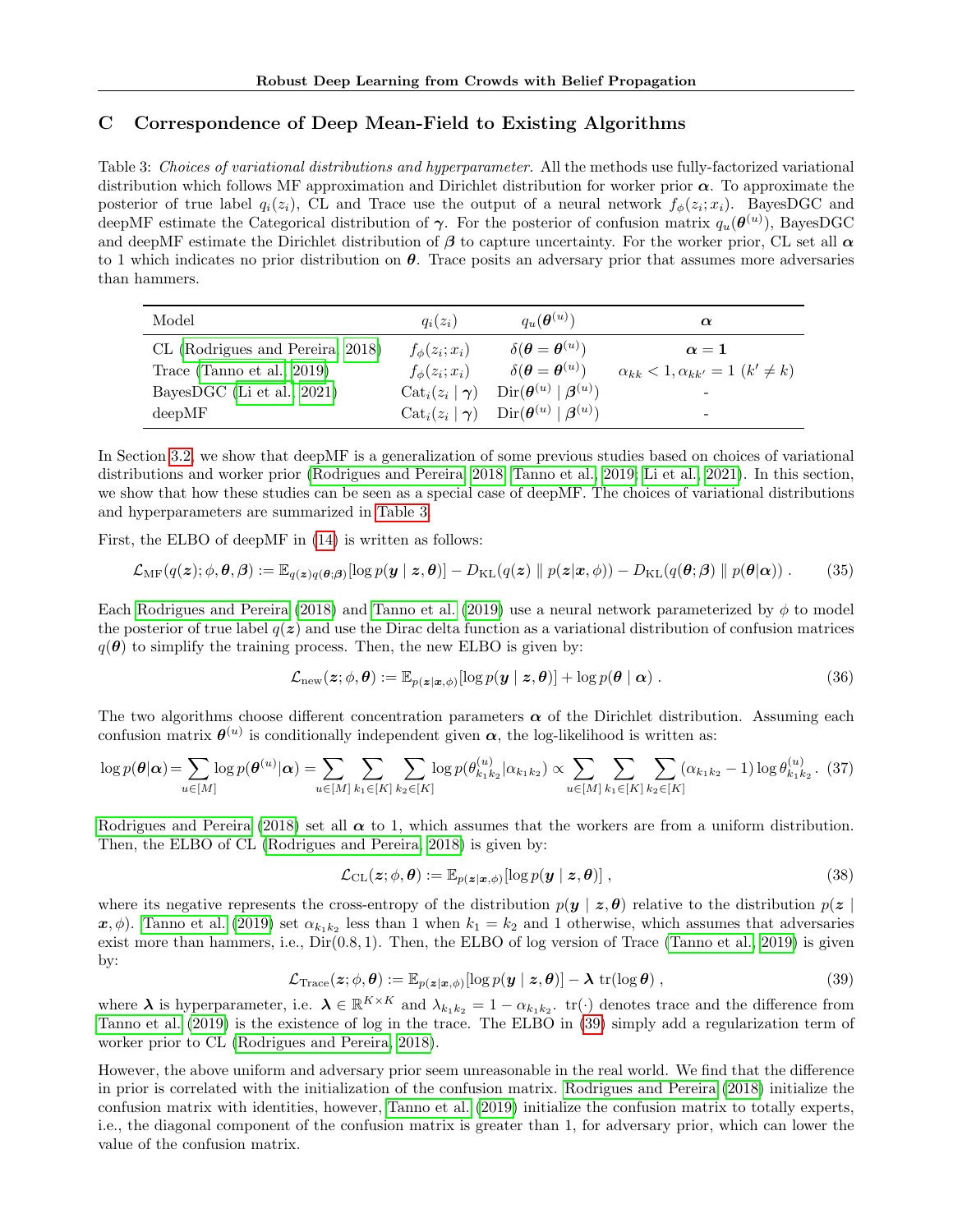# <span id="page-13-0"></span>C Correspondence of Deep Mean-Field to Existing Algorithms

<span id="page-13-1"></span>Table 3: Choices of variational distributions and hyperparameter. All the methods use fully-factorized variational distribution which follows MF approximation and Dirichlet distribution for worker prior  $\alpha$ . To approximate the posterior of true label  $q_i(z_i)$ , CL and Trace use the output of a neural network  $f_\phi(z_i; x_i)$ . BayesDGC and deepMF estimate the Categorical distribution of  $\gamma$ . For the posterior of confusion matrix  $q_u(\theta^{(u)})$ , BayesDGC and deepMF estimate the Dirichlet distribution of  $\beta$  to capture uncertainty. For the worker prior, CL set all  $\alpha$ to 1 which indicates no prior distribution on  $\theta$ . Trace posits an adversary prior that assumes more adversaries than hammers.

| Model                            | $q_i(z_i)$                                | $q_u(\boldsymbol{\theta}^{(u)})$                                                                                             | $\alpha$                                          |
|----------------------------------|-------------------------------------------|------------------------------------------------------------------------------------------------------------------------------|---------------------------------------------------|
| CL (Rodrigues and Pereira, 2018) | $f_{\phi}(z_i; x_i)$                      | $\delta(\boldsymbol{\theta}=\boldsymbol{\theta}^{(u)})$                                                                      | $\alpha = 1$                                      |
| Trace (Tanno et al., $2019$ )    | $f_{\phi}(z_i; x_i)$                      | $\delta(\boldsymbol{\theta}=\boldsymbol{\theta}^{(u)})$                                                                      | $\alpha_{kk} < 1, \alpha_{kk'} = 1 \ (k' \neq k)$ |
| BayesDGC (Li et al., 2021)       | $\text{Cat}_i(z_i   \boldsymbol{\gamma})$ | $\operatorname{Dir}(\boldsymbol{\theta}^{(u)} \mid \boldsymbol{\beta}^{(u)})$                                                |                                                   |
| deepMF                           |                                           | $\operatorname{Cat}_i(z_i   \boldsymbol{\gamma})$ $\operatorname{Dir}(\boldsymbol{\theta}^{(u)}   \boldsymbol{\beta}^{(u)})$ | -                                                 |

In Section [3.2,](#page-4-0) we show that deepMF is a generalization of some previous studies based on choices of variational distributions and worker prior [\(Rodrigues and Pereira, 2018;](#page-9-4) [Tanno et al., 2019;](#page-9-5) [Li et al., 2021\)](#page-9-13). In this section, we show that how these studies can be seen as a special case of deepMF. The choices of variational distributions and hyperparameters are summarized in [Table 3.](#page-13-1)

First, the ELBO of deepMF in [\(14\)](#page-3-6) is written as follows:

$$
\mathcal{L}_{\mathrm{MF}}(q(\boldsymbol{z});\phi,\boldsymbol{\theta},\boldsymbol{\beta}) := \mathbb{E}_{q(\boldsymbol{z})q(\boldsymbol{\theta};\boldsymbol{\beta})}[\log p(\boldsymbol{y} \mid \boldsymbol{z},\boldsymbol{\theta})] - D_{\mathrm{KL}}(q(\boldsymbol{z}) \parallel p(\boldsymbol{z}|\boldsymbol{x},\phi)) - D_{\mathrm{KL}}(q(\boldsymbol{\theta};\boldsymbol{\beta}) \parallel p(\boldsymbol{\theta}|\boldsymbol{\alpha})). \tag{35}
$$

Each [Rodrigues and Pereira](#page-9-4) [\(2018\)](#page-9-4) and [Tanno et al.](#page-9-5) [\(2019\)](#page-9-5) use a neural network parameterized by  $\phi$  to model the posterior of true label  $q(z)$  and use the Dirac delta function as a variational distribution of confusion matrices  $q(\theta)$  to simplify the training process. Then, the new ELBO is given by:

$$
\mathcal{L}_{\text{new}}(\boldsymbol{z};\phi,\boldsymbol{\theta}) := \mathbb{E}_{p(\boldsymbol{z}|\boldsymbol{x},\phi)}[\log p(\boldsymbol{y} \mid \boldsymbol{z},\boldsymbol{\theta})] + \log p(\boldsymbol{\theta} \mid \boldsymbol{\alpha}) . \qquad (36)
$$

The two algorithms choose different concentration parameters  $\alpha$  of the Dirichlet distribution. Assuming each confusion matrix  $\theta^{(u)}$  is conditionally independent given  $\alpha$ , the log-likelihood is written as:

$$
\log p(\boldsymbol{\theta}|\boldsymbol{\alpha}) = \sum_{u \in [M]} \log p(\boldsymbol{\theta}^{(u)}|\boldsymbol{\alpha}) = \sum_{u \in [M]} \sum_{k_1 \in [K]} \sum_{k_2 \in [K]} \log p(\theta_{k_1 k_2}^{(u)}|\alpha_{k_1 k_2}) \propto \sum_{u \in [M]} \sum_{k_1 \in [K]} \sum_{k_2 \in [K]} (\alpha_{k_1 k_2} - 1) \log \theta_{k_1 k_2}^{(u)}.
$$
 (37)

[Rodrigues and Pereira](#page-9-4) [\(2018\)](#page-9-4) set all  $\alpha$  to 1, which assumes that the workers are from a uniform distribution. Then, the ELBO of CL [\(Rodrigues and Pereira, 2018\)](#page-9-4) is given by:

$$
\mathcal{L}_{\text{CL}}(z; \phi, \theta) := \mathbb{E}_{p(z|x,\phi)}[\log p(y | z, \theta)],
$$
\n(38)

where its negative represents the cross-entropy of the distribution  $p(y | z, \theta)$  relative to the distribution  $p(z)$  $x, \phi$ ). [Tanno et al.](#page-9-5) [\(2019\)](#page-9-5) set  $\alpha_{k_1 k_2}$  less than 1 when  $k_1 = k_2$  and 1 otherwise, which assumes that adversaries exist more than hammers, i.e.,  $Dir(0.8, 1)$ . Then, the ELBO of log version of Trace [\(Tanno et al., 2019\)](#page-9-5) is given by:

<span id="page-13-2"></span>
$$
\mathcal{L}_{\text{Trace}}(\boldsymbol{z};\phi,\boldsymbol{\theta}) := \mathbb{E}_{p(\boldsymbol{z}|\boldsymbol{x},\phi)}[\log p(\boldsymbol{y} \mid \boldsymbol{z},\boldsymbol{\theta})] - \boldsymbol{\lambda} \operatorname{tr}(\log \boldsymbol{\theta}), \qquad (39)
$$

where  $\lambda$  is hyperparameter, i.e.  $\lambda \in \mathbb{R}^{K \times K}$  and  $\lambda_{k_1 k_2} = 1 - \alpha_{k_1 k_2}$ .  $\text{tr}(\cdot)$  denotes trace and the difference from [Tanno et al.](#page-9-5) [\(2019\)](#page-9-5) is the existence of log in the trace. The ELBO in [\(39\)](#page-13-2) simply add a regularization term of worker prior to CL [\(Rodrigues and Pereira, 2018\)](#page-9-4).

However, the above uniform and adversary prior seem unreasonable in the real world. We find that the difference in prior is correlated with the initialization of the confusion matrix. [Rodrigues and Pereira](#page-9-4) [\(2018\)](#page-9-4) initialize the confusion matrix with identities, however, [Tanno et al.](#page-9-5) [\(2019\)](#page-9-5) initialize the confusion matrix to totally experts, i.e., the diagonal component of the confusion matrix is greater than 1, for adversary prior, which can lower the value of the confusion matrix.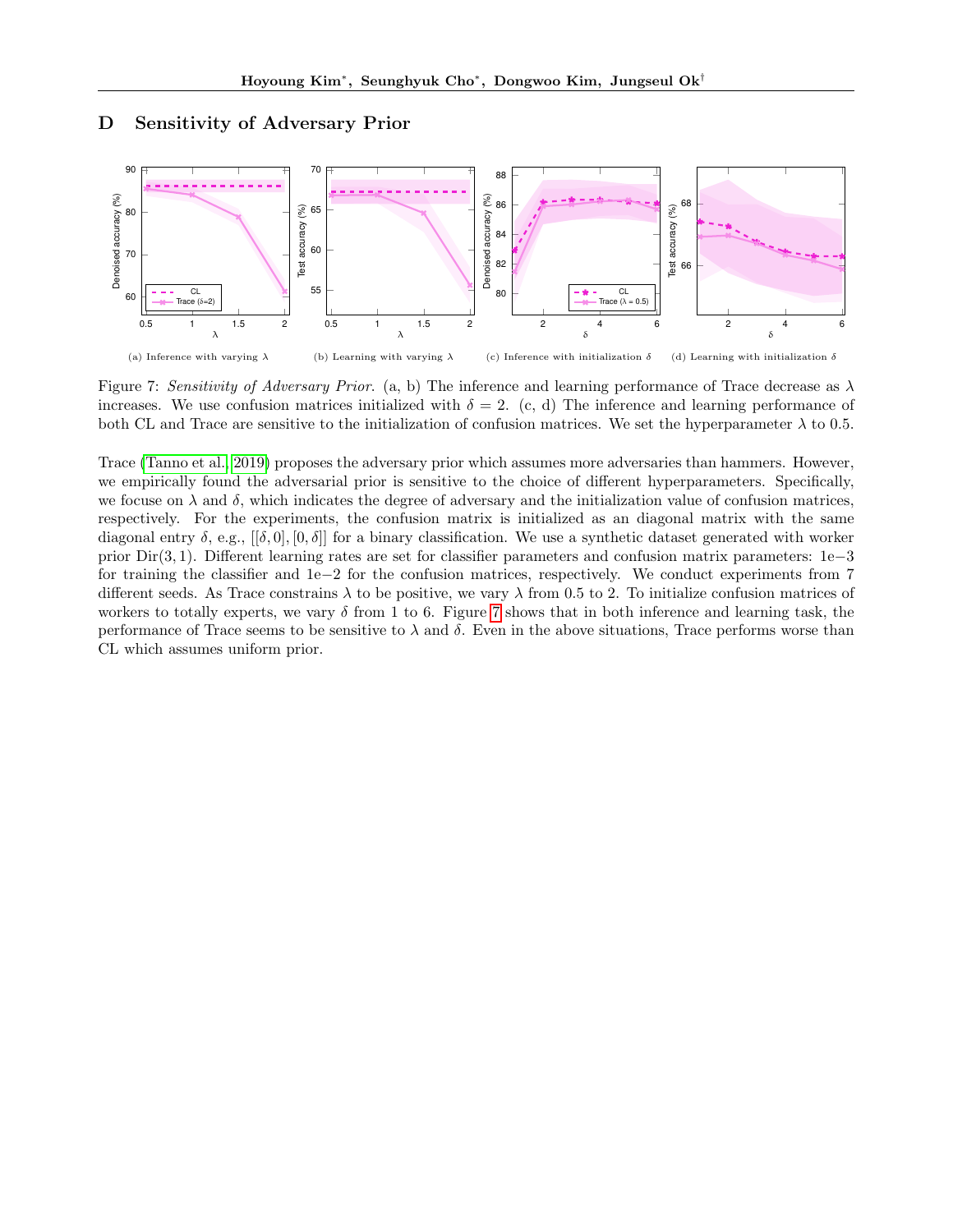## <span id="page-14-0"></span>D Sensitivity of Adversary Prior

<span id="page-14-1"></span>

Figure 7: Sensitivity of Adversary Prior. (a, b) The inference and learning performance of Trace decrease as  $\lambda$ increases. We use confusion matrices initialized with  $\delta = 2$ . (c, d) The inference and learning performance of both CL and Trace are sensitive to the initialization of confusion matrices. We set the hyperparameter  $\lambda$  to 0.5.

Trace [\(Tanno et al., 2019\)](#page-9-5) proposes the adversary prior which assumes more adversaries than hammers. However, we empirically found the adversarial prior is sensitive to the choice of different hyperparameters. Specifically, we focuse on  $\lambda$  and  $\delta$ , which indicates the degree of adversary and the initialization value of confusion matrices, respectively. For the experiments, the confusion matrix is initialized as an diagonal matrix with the same diagonal entry  $\delta$ , e.g.,  $[[\delta, 0], [0, \delta]]$  for a binary classification. We use a synthetic dataset generated with worker prior Dir(3, 1). Different learning rates are set for classifier parameters and confusion matrix parameters: 1e−3 for training the classifier and 1e−2 for the confusion matrices, respectively. We conduct experiments from 7 different seeds. As Trace constrains  $\lambda$  to be positive, we vary  $\lambda$  from 0.5 to 2. To initialize confusion matrices of workers to totally experts, we vary  $\delta$  from 1 to 6. Figure [7](#page-14-1) shows that in both inference and learning task, the performance of Trace seems to be sensitive to  $\lambda$  and  $\delta$ . Even in the above situations, Trace performs worse than CL which assumes uniform prior.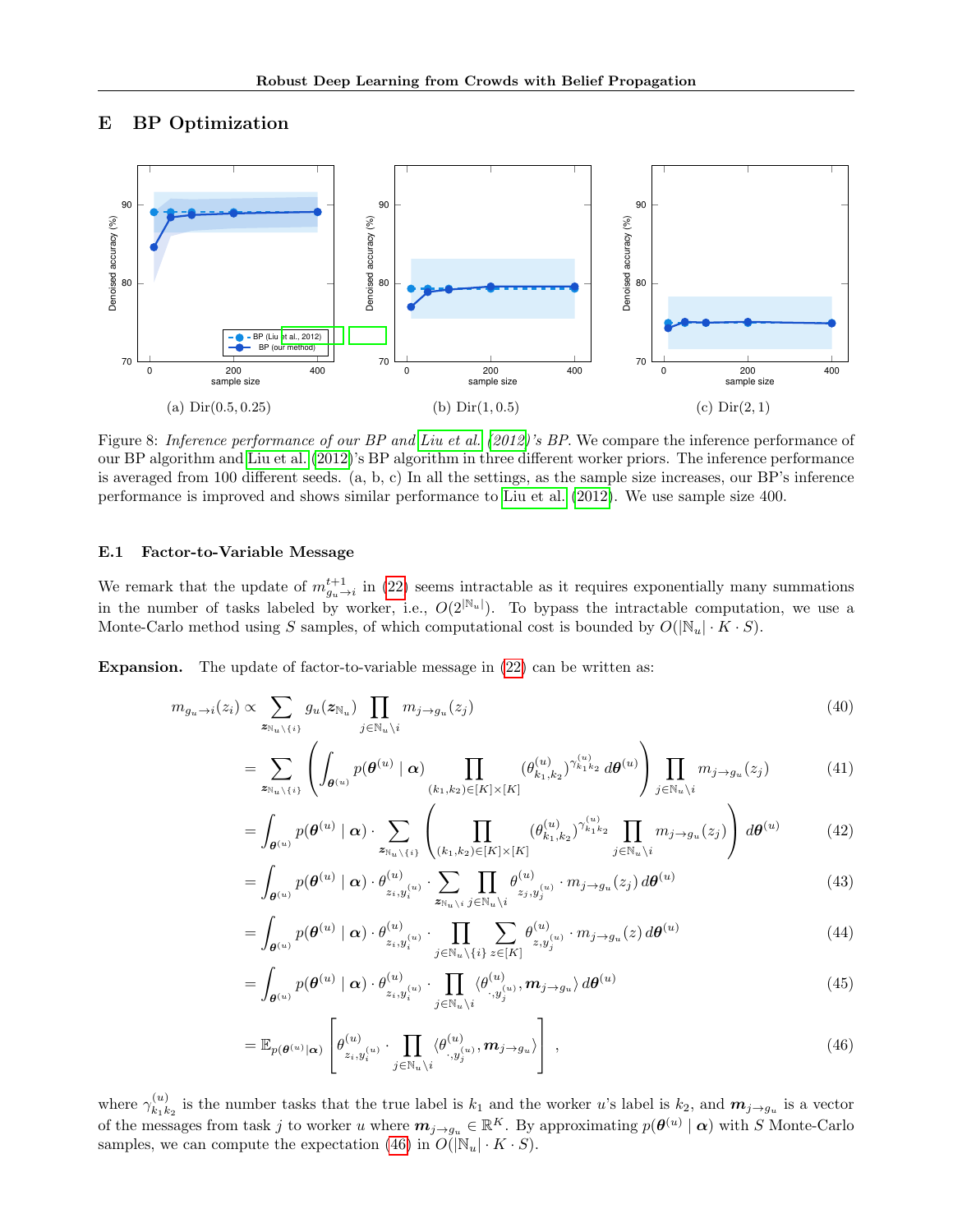# <span id="page-15-0"></span>E BP Optimization

<span id="page-15-2"></span>

Figure 8: Inference performance of our BP and [Liu et al.](#page-9-3) [\(2012\)](#page-9-3)'s BP. We compare the inference performance of our BP algorithm and [Liu et al.](#page-9-3) [\(2012\)](#page-9-3)'s BP algorithm in three different worker priors. The inference performance is averaged from 100 different seeds. (a, b, c) In all the settings, as the sample size increases, our BP's inference performance is improved and shows similar performance to [Liu et al.](#page-9-3) [\(2012\)](#page-9-3). We use sample size 400.

## E.1 Factor-to-Variable Message

We remark that the update of  $m_{g_u \to i}^{t+1}$  in [\(22\)](#page-5-3) seems intractable as it requires exponentially many summations in the number of tasks labeled by worker, i.e.,  $O(2^{|N_u|})$ . To bypass the intractable computation, we use a Monte-Carlo method using S samples, of which computational cost is bounded by  $O(|\mathbb{N}_u| \cdot K \cdot S)$ .

Expansion. The update of factor-to-variable message in [\(22\)](#page-5-3) can be written as:

$$
m_{g_u \to i}(z_i) \propto \sum_{z_{\mathbb{N}_u \setminus \{i\}}} g_u(z_{\mathbb{N}_u}) \prod_{j \in \mathbb{N}_u \setminus i} m_{j \to g_u}(z_j)
$$
\n
$$
(40)
$$

$$
= \sum_{\mathbf{z}_{\mathbb{N}_u \backslash \{i\}}}\left(\int_{\boldsymbol{\theta}^{(u)}} p(\boldsymbol{\theta}^{(u)} \mid \boldsymbol{\alpha}) \prod_{(k_1,k_2) \in [K] \times [K]} (\theta_{k_1,k_2}^{(u)})^{\gamma_{k_1k_2}^{(u)}} d\boldsymbol{\theta}^{(u)}\right) \prod_{j \in \mathbb{N}_u \backslash i} m_{j \to g_u}(z_j)
$$
(41)

$$
= \int_{\theta^{(u)}} p(\theta^{(u)} \mid \alpha) \cdot \sum_{z_{\mathbb{N}_u \setminus \{i\}}} \left( \prod_{(k_1, k_2) \in [K] \times [K]} (\theta^{(u)}_{k_1, k_2})^{\gamma^{(u)}_{k_1 k_2}} \prod_{j \in \mathbb{N}_u \setminus i} m_{j \to g_u}(z_j) \right) d\theta^{(u)} \tag{42}
$$

$$
= \int_{\theta^{(u)}} p(\theta^{(u)} \mid \alpha) \cdot \theta^{(u)}_{z_i, y_i^{(u)}} \cdot \sum_{z_{\mathbb{N}_u \setminus i}} \prod_{j \in \mathbb{N}_u \setminus i} \theta^{(u)}_{z_j, y_j^{(u)}} \cdot m_{j \to g_u}(z_j) d\theta^{(u)}
$$
(43)

$$
= \int_{\boldsymbol{\theta}^{(u)}} p(\boldsymbol{\theta}^{(u)} \mid \boldsymbol{\alpha}) \cdot \theta_{z_i, y_i^{(u)}}^{(u)} \cdot \prod_{j \in \mathbb{N}_u \backslash \{i\}} \sum_{z \in [K]} \theta_{z, y_j^{(u)}}^{(u)} \cdot m_{j \to g_u}(z) d\boldsymbol{\theta}^{(u)}
$$
(44)

$$
= \int_{\theta^{(u)}} p(\theta^{(u)} \mid \boldsymbol{\alpha}) \cdot \theta^{(u)}_{z_i, y_i^{(u)}} \cdot \prod_{j \in \mathbb{N}_u \backslash i} \langle \theta^{(u)}_{\cdot, y_j^{(u)}}, m_{j \to g_u} \rangle d\theta^{(u)}
$$
(45)

<span id="page-15-1"></span>
$$
= \mathbb{E}_{p(\boldsymbol{\theta}^{(u)}|\boldsymbol{\alpha})} \left[ \theta_{z_i, y_i^{(u)}}^{(u)} \cdot \prod_{j \in \mathbb{N}_u \backslash i} \langle \theta_{\cdot, y_j^{(u)}}^{(u)}, \boldsymbol{m}_{j \to g_u} \rangle \right], \qquad (46)
$$

where  $\gamma_{k_1k}^{(u)}$  $\kappa_1^{(u)}_{k_1k_2}$  is the number tasks that the true label is  $k_1$  and the worker u's label is  $k_2$ , and  $m_{j\to g_u}$  is a vector of the messages from task j to worker u where  $m_{j\to g_u} \in \mathbb{R}^K$ . By approximating  $p(\theta^{(u)} | \alpha)$  with S Monte-Carlo samples, we can compute the expectation [\(46\)](#page-15-1) in  $\tilde{O}(|N_u| \cdot K \cdot S)$ .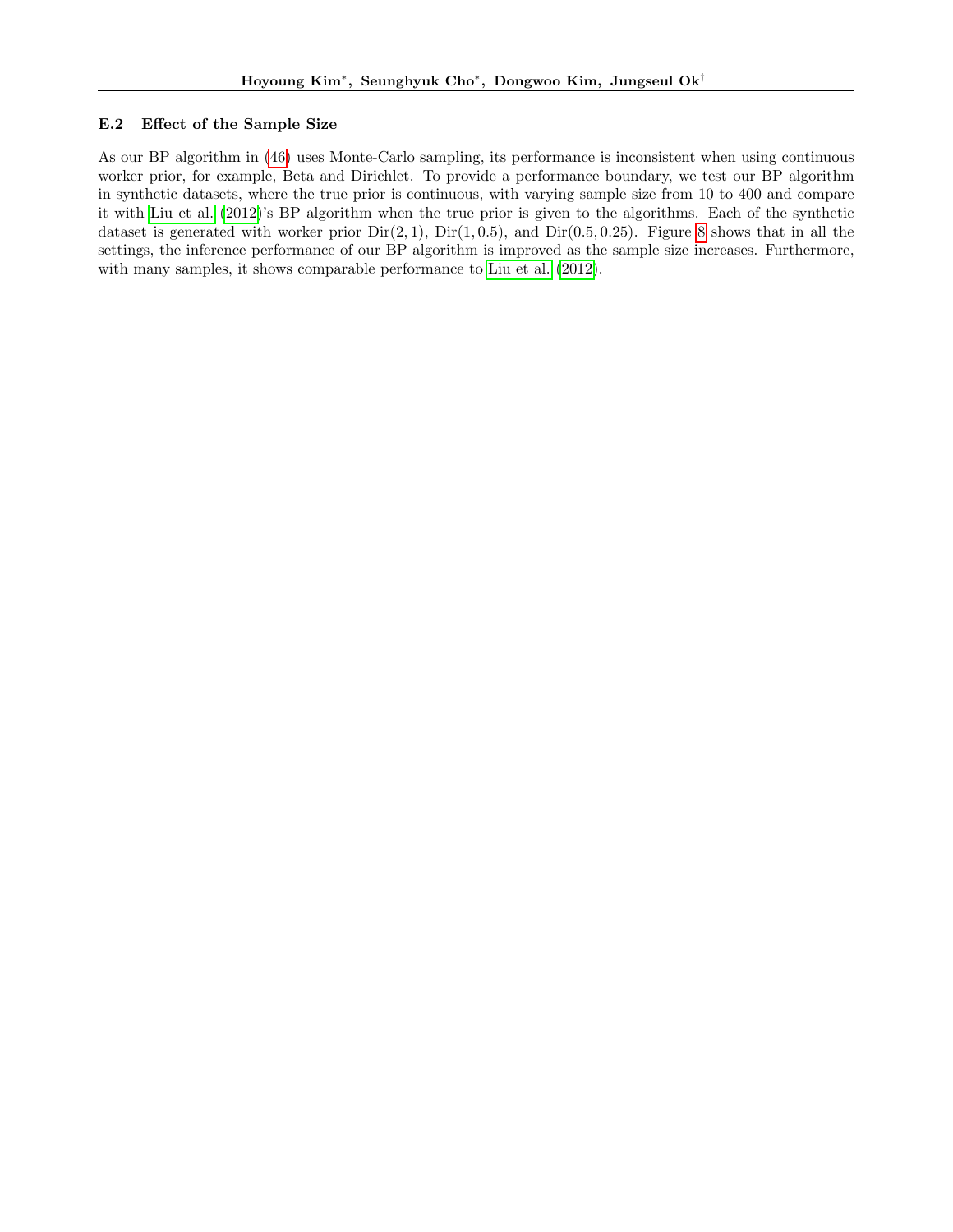## E.2 Effect of the Sample Size

As our BP algorithm in [\(46\)](#page-15-1) uses Monte-Carlo sampling, its performance is inconsistent when using continuous worker prior, for example, Beta and Dirichlet. To provide a performance boundary, we test our BP algorithm in synthetic datasets, where the true prior is continuous, with varying sample size from 10 to 400 and compare it with [Liu et al.](#page-9-3) [\(2012\)](#page-9-3)'s BP algorithm when the true prior is given to the algorithms. Each of the synthetic dataset is generated with worker prior  $Dir(2, 1)$ ,  $Dir(1, 0.5)$ , and  $Dir(0.5, 0.25)$ . Figure [8](#page-15-2) shows that in all the settings, the inference performance of our BP algorithm is improved as the sample size increases. Furthermore, with many samples, it shows comparable performance to [Liu et al.](#page-9-3) [\(2012\)](#page-9-3).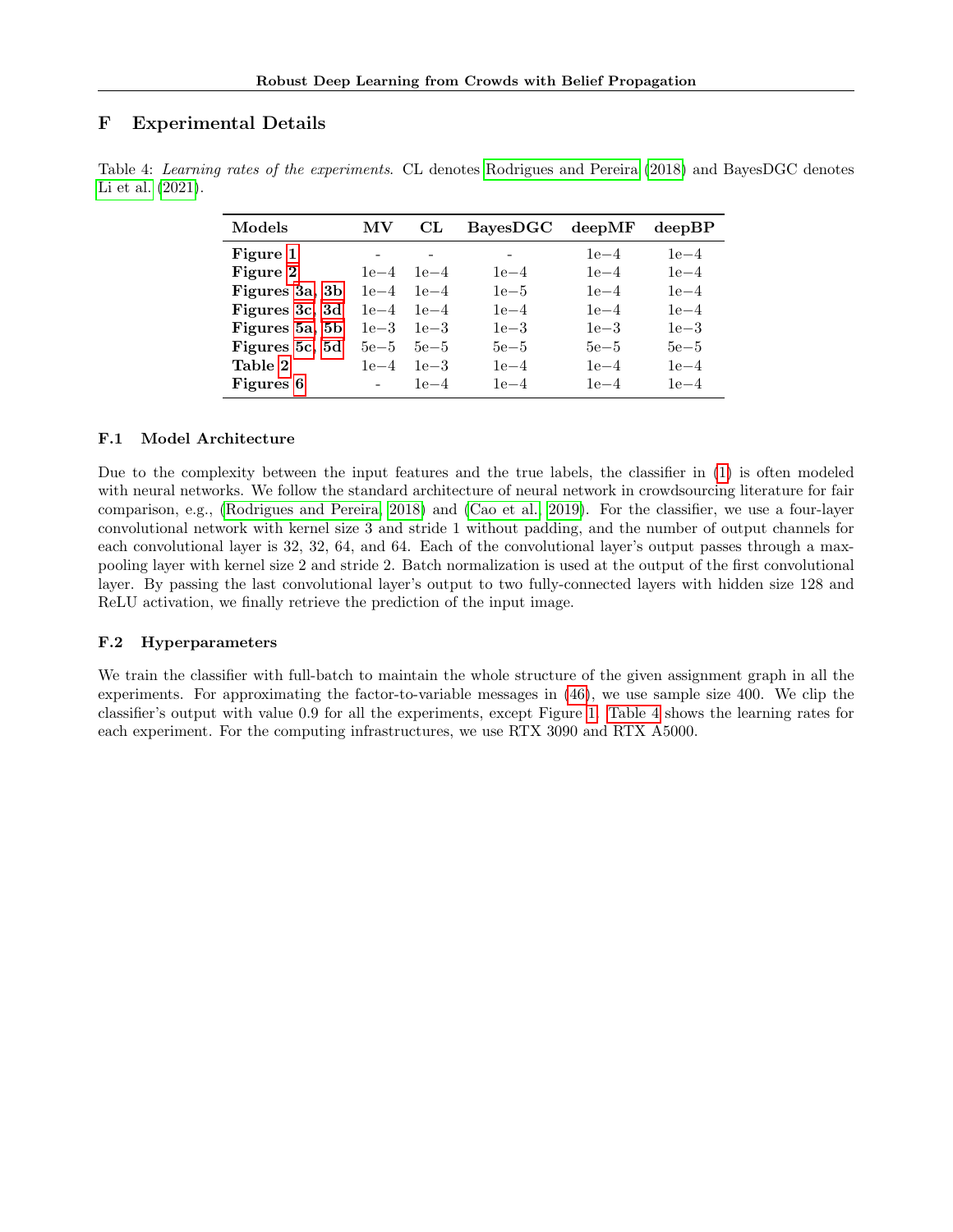# F Experimental Details

| Models         | MΛ       | CL       | BayesDGC deepMF |        | $dee$ <sub>D</sub> $BP$ |
|----------------|----------|----------|-----------------|--------|-------------------------|
| Figure 1       |          |          |                 | $1e-4$ | $1e-4$                  |
| Figure 2       | $1e-4$   | $1e-4$   | $1e-4$          | $1e-4$ | $1e-4$                  |
| Figures 3a, 3b | $1e-4$   | $1e-4$   | $1e-5$          | $1e-4$ | $1e-4$                  |
| Figures 3c, 3d | $1e-4$   | $1e-4$   | $1e-4$          | $1e-4$ | $1e-4$                  |
| Figures 5a, 5b | $1e-3$   | $1e - 3$ | $1e-3$          | $1e-3$ | $1e-3$                  |
| Figures 5c, 5d | $5e{-}5$ | $5e - 5$ | $5e-5$          | $5e-5$ | $5e-5$                  |
| Table 2        | $1e-4$   | $1e-3$   | $1e-4$          | $1e-4$ | $1e-4$                  |
| Figures 6      |          | $1e-4$   | $1e-4$          | $1e-4$ | $1e-4$                  |

<span id="page-17-0"></span>Table 4: Learning rates of the experiments. CL denotes [Rodrigues and Pereira](#page-9-4) [\(2018\)](#page-9-4) and BayesDGC denotes [Li et al.](#page-9-13) [\(2021\)](#page-9-13).

## F.1 Model Architecture

Due to the complexity between the input features and the true labels, the classifier in [\(1\)](#page-2-4) is often modeled with neural networks. We follow the standard architecture of neural network in crowdsourcing literature for fair comparison, e.g., [\(Rodrigues and Pereira, 2018\)](#page-9-4) and [\(Cao et al., 2019\)](#page-9-20). For the classifier, we use a four-layer convolutional network with kernel size 3 and stride 1 without padding, and the number of output channels for each convolutional layer is 32, 32, 64, and 64. Each of the convolutional layer's output passes through a maxpooling layer with kernel size 2 and stride 2. Batch normalization is used at the output of the first convolutional layer. By passing the last convolutional layer's output to two fully-connected layers with hidden size 128 and ReLU activation, we finally retrieve the prediction of the input image.

## F.2 Hyperparameters

We train the classifier with full-batch to maintain the whole structure of the given assignment graph in all the experiments. For approximating the factor-to-variable messages in [\(46\)](#page-15-1), we use sample size 400. We clip the classifier's output with value 0.9 for all the experiments, except Figure [1.](#page-6-0) [Table 4](#page-17-0) shows the learning rates for each experiment. For the computing infrastructures, we use RTX 3090 and RTX A5000.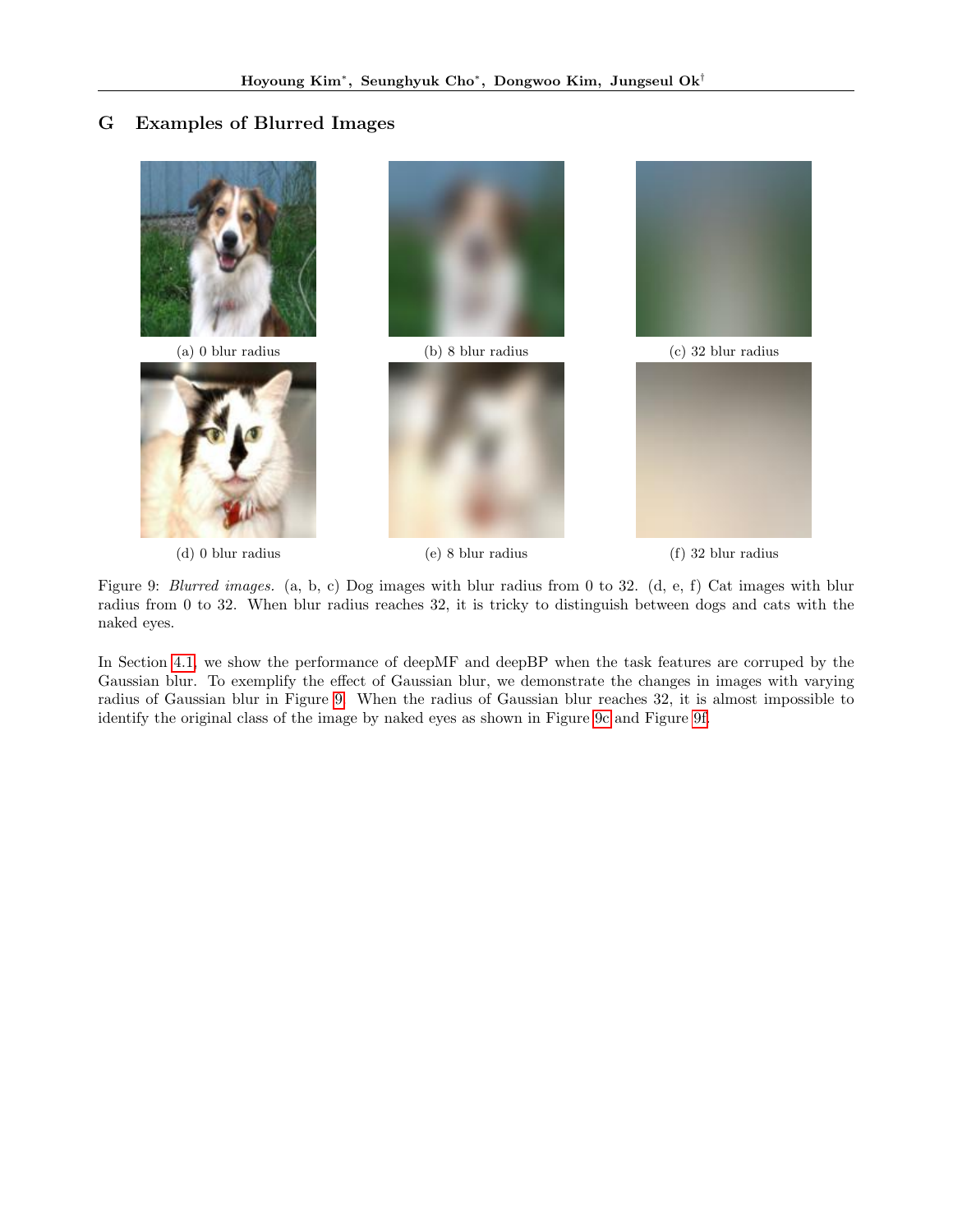# <span id="page-18-0"></span>G Examples of Blurred Images

<span id="page-18-1"></span>

Figure 9: Blurred images. (a, b, c) Dog images with blur radius from 0 to 32. (d, e, f) Cat images with blur radius from 0 to 32. When blur radius reaches 32, it is tricky to distinguish between dogs and cats with the naked eyes.

In Section [4.1,](#page-6-2) we show the performance of deepMF and deepBP when the task features are corruped by the Gaussian blur. To exemplify the effect of Gaussian blur, we demonstrate the changes in images with varying radius of Gaussian blur in Figure [9.](#page-18-1) When the radius of Gaussian blur reaches 32, it is almost impossible to identify the original class of the image by naked eyes as shown in Figure [9c](#page-18-1) and Figure [9f.](#page-18-1)